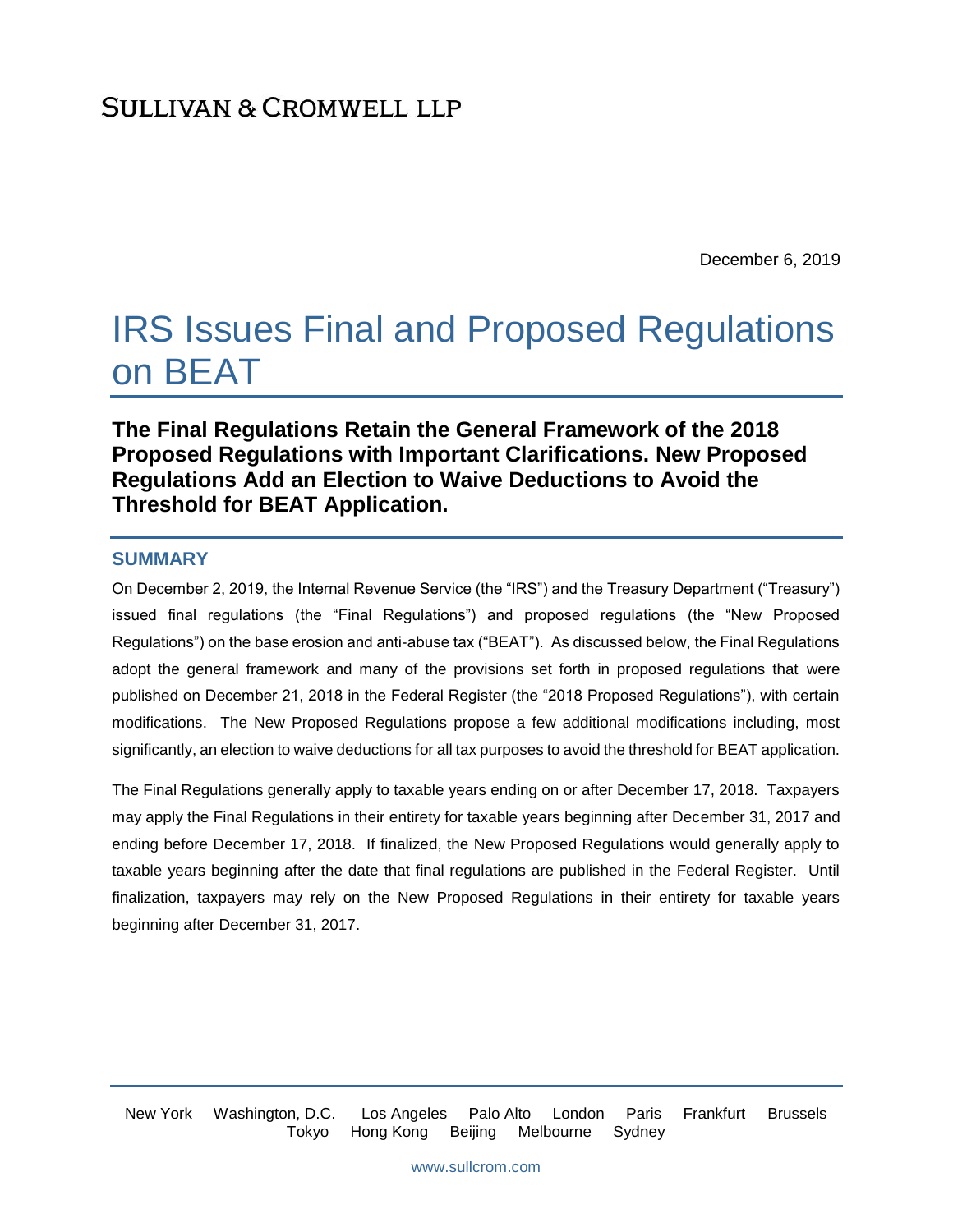December 6, 2019

# IRS Issues Final and Proposed Regulations on BEAT

**The Final Regulations Retain the General Framework of the 2018 Proposed Regulations with Important Clarifications. New Proposed Regulations Add an Election to Waive Deductions to Avoid the Threshold for BEAT Application.**

### **SUMMARY**

On December 2, 2019, the Internal Revenue Service (the "IRS") and the Treasury Department ("Treasury") issued final regulations (the "Final Regulations") and proposed regulations (the "New Proposed Regulations") on the base erosion and anti-abuse tax ("BEAT"). As discussed below, the Final Regulations adopt the general framework and many of the provisions set forth in proposed regulations that were published on December 21, 2018 in the Federal Register (the "2018 Proposed Regulations"), with certain modifications. The New Proposed Regulations propose a few additional modifications including, most significantly, an election to waive deductions for all tax purposes to avoid the threshold for BEAT application.

The Final Regulations generally apply to taxable years ending on or after December 17, 2018. Taxpayers may apply the Final Regulations in their entirety for taxable years beginning after December 31, 2017 and ending before December 17, 2018. If finalized, the New Proposed Regulations would generally apply to taxable years beginning after the date that final regulations are published in the Federal Register. Until finalization, taxpayers may rely on the New Proposed Regulations in their entirety for taxable years beginning after December 31, 2017.

New York Washington, D.C. Los Angeles Palo Alto London Paris Frankfurt Brussels Tokyo Hong Kong Beijing Melbourne Sydney

[www.sullcrom.com](http://www.sullcrom.com/)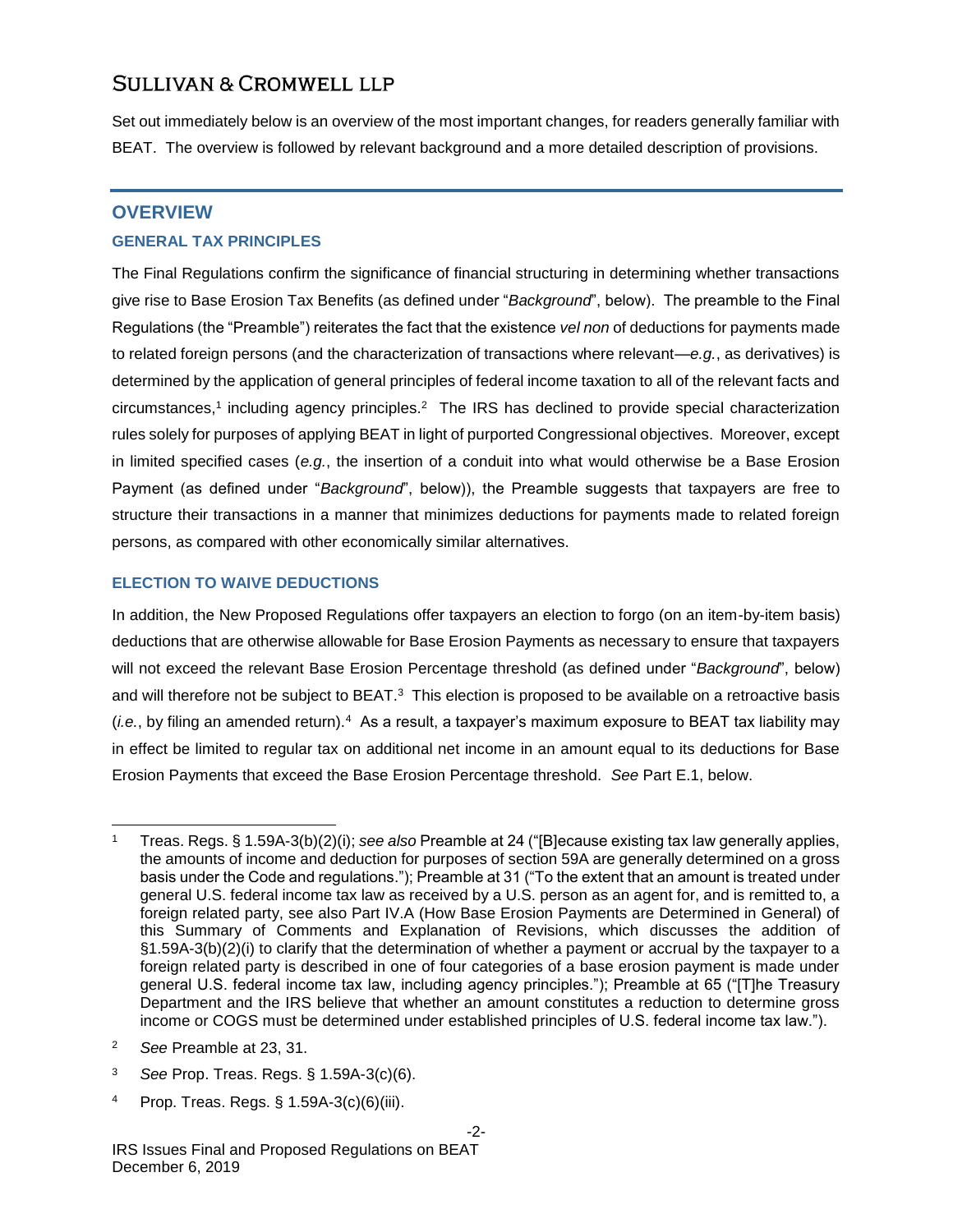Set out immediately below is an overview of the most important changes, for readers generally familiar with BEAT. The overview is followed by relevant background and a more detailed description of provisions.

### **OVERVIEW**

### **GENERAL TAX PRINCIPLES**

The Final Regulations confirm the significance of financial structuring in determining whether transactions give rise to Base Erosion Tax Benefits (as defined under "*Background*", below). The preamble to the Final Regulations (the "Preamble") reiterates the fact that the existence *vel non* of deductions for payments made to related foreign persons (and the characterization of transactions where relevant—*e.g.*, as derivatives) is determined by the application of general principles of federal income taxation to all of the relevant facts and circumstances,<sup>1</sup> including agency principles.<sup>2</sup> The IRS has declined to provide special characterization rules solely for purposes of applying BEAT in light of purported Congressional objectives. Moreover, except in limited specified cases (*e.g.*, the insertion of a conduit into what would otherwise be a Base Erosion Payment (as defined under "*Background*", below)), the Preamble suggests that taxpayers are free to structure their transactions in a manner that minimizes deductions for payments made to related foreign persons, as compared with other economically similar alternatives.

### **ELECTION TO WAIVE DEDUCTIONS**

In addition, the New Proposed Regulations offer taxpayers an election to forgo (on an item-by-item basis) deductions that are otherwise allowable for Base Erosion Payments as necessary to ensure that taxpayers will not exceed the relevant Base Erosion Percentage threshold (as defined under "*Background*", below) and will therefore not be subject to BEAT. $3$  This election is proposed to be available on a retroactive basis (*i.e.*, by filing an amended return).<sup>4</sup> As a result, a taxpayer's maximum exposure to BEAT tax liability may in effect be limited to regular tax on additional net income in an amount equal to its deductions for Base Erosion Payments that exceed the Base Erosion Percentage threshold. *See* Part E.1, below.

<sup>2</sup> *See* Preamble at 23, 31.

- <sup>3</sup> *See* Prop. Treas. Regs. § 1.59A-3(c)(6).
- <sup>4</sup> Prop. Treas. Regs. § 1.59A-3(c)(6)(iii).

<sup>1</sup> Treas. Regs. § 1.59A-3(b)(2)(i); *see also* Preamble at 24 ("[B]ecause existing tax law generally applies, the amounts of income and deduction for purposes of section 59A are generally determined on a gross basis under the Code and regulations."); Preamble at 31 ("To the extent that an amount is treated under general U.S. federal income tax law as received by a U.S. person as an agent for, and is remitted to, a foreign related party, see also Part IV.A (How Base Erosion Payments are Determined in General) of this Summary of Comments and Explanation of Revisions, which discusses the addition of §1.59A-3(b)(2)(i) to clarify that the determination of whether a payment or accrual by the taxpayer to a foreign related party is described in one of four categories of a base erosion payment is made under general U.S. federal income tax law, including agency principles."); Preamble at 65 ("[T]he Treasury Department and the IRS believe that whether an amount constitutes a reduction to determine gross income or COGS must be determined under established principles of U.S. federal income tax law.").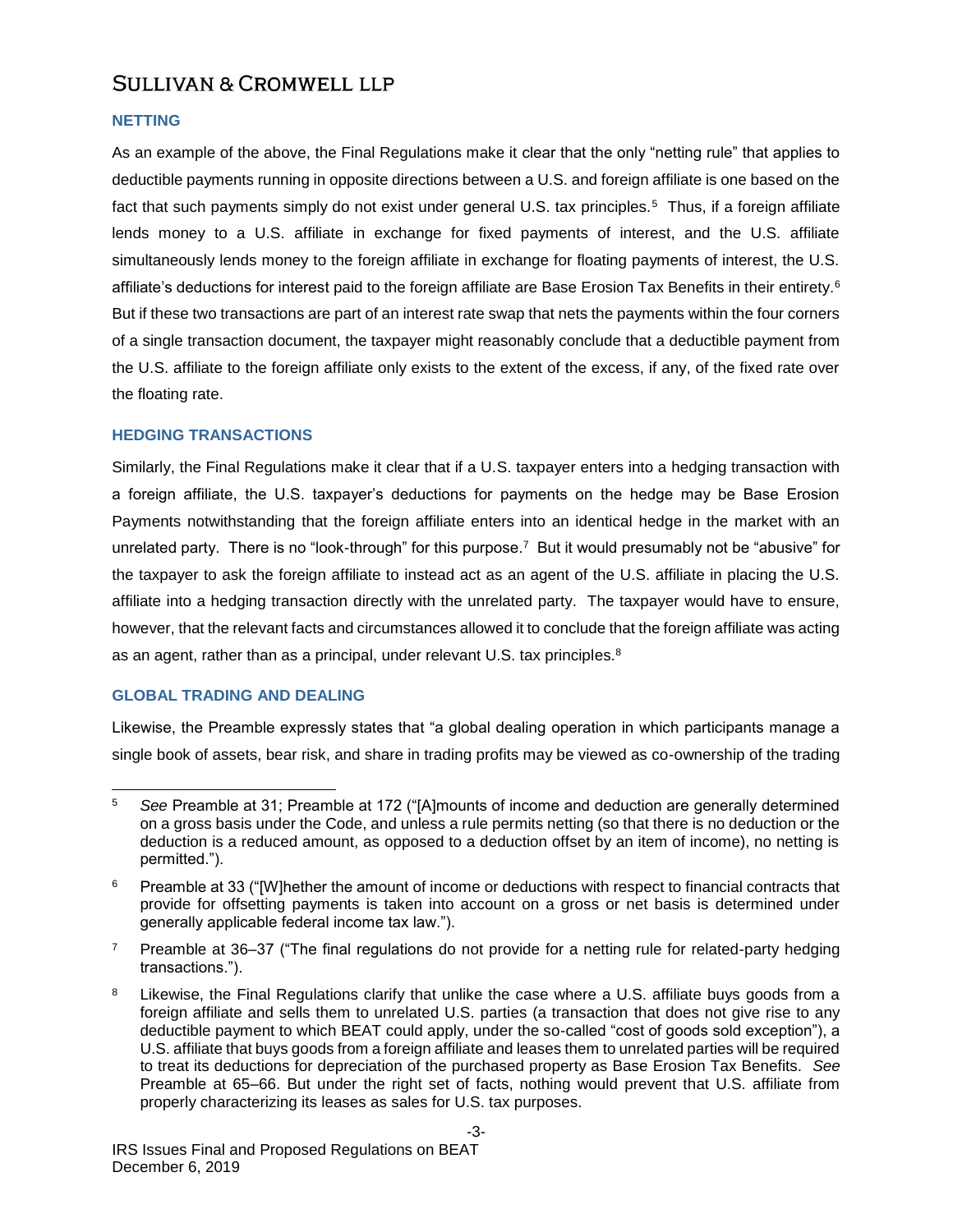### **NETTING**

As an example of the above, the Final Regulations make it clear that the only "netting rule" that applies to deductible payments running in opposite directions between a U.S. and foreign affiliate is one based on the fact that such payments simply do not exist under general U.S. tax principles.<sup>5</sup> Thus, if a foreign affiliate lends money to a U.S. affiliate in exchange for fixed payments of interest, and the U.S. affiliate simultaneously lends money to the foreign affiliate in exchange for floating payments of interest, the U.S. affiliate's deductions for interest paid to the foreign affiliate are Base Erosion Tax Benefits in their entirety.<sup>6</sup> But if these two transactions are part of an interest rate swap that nets the payments within the four corners of a single transaction document, the taxpayer might reasonably conclude that a deductible payment from the U.S. affiliate to the foreign affiliate only exists to the extent of the excess, if any, of the fixed rate over the floating rate.

### **HEDGING TRANSACTIONS**

Similarly, the Final Regulations make it clear that if a U.S. taxpayer enters into a hedging transaction with a foreign affiliate, the U.S. taxpayer's deductions for payments on the hedge may be Base Erosion Payments notwithstanding that the foreign affiliate enters into an identical hedge in the market with an unrelated party. There is no "look-through" for this purpose.<sup>7</sup> But it would presumably not be "abusive" for the taxpayer to ask the foreign affiliate to instead act as an agent of the U.S. affiliate in placing the U.S. affiliate into a hedging transaction directly with the unrelated party. The taxpayer would have to ensure, however, that the relevant facts and circumstances allowed it to conclude that the foreign affiliate was acting as an agent, rather than as a principal, under relevant U.S. tax principles.<sup>8</sup>

### **GLOBAL TRADING AND DEALING**

Likewise, the Preamble expressly states that "a global dealing operation in which participants manage a single book of assets, bear risk, and share in trading profits may be viewed as co-ownership of the trading

l <sup>5</sup> *See* Preamble at 31; Preamble at 172 ("[A]mounts of income and deduction are generally determined on a gross basis under the Code, and unless a rule permits netting (so that there is no deduction or the deduction is a reduced amount, as opposed to a deduction offset by an item of income), no netting is permitted.").

<sup>&</sup>lt;sup>6</sup> Preamble at 33 ("[W]hether the amount of income or deductions with respect to financial contracts that provide for offsetting payments is taken into account on a gross or net basis is determined under generally applicable federal income tax law.").

 $7$  Preamble at 36–37 ("The final regulations do not provide for a netting rule for related-party hedging transactions.").

<sup>&</sup>lt;sup>8</sup> Likewise, the Final Regulations clarify that unlike the case where a U.S. affiliate buys goods from a foreign affiliate and sells them to unrelated U.S. parties (a transaction that does not give rise to any deductible payment to which BEAT could apply, under the so-called "cost of goods sold exception"), a U.S. affiliate that buys goods from a foreign affiliate and leases them to unrelated parties will be required to treat its deductions for depreciation of the purchased property as Base Erosion Tax Benefits. *See*  Preamble at 65–66. But under the right set of facts, nothing would prevent that U.S. affiliate from properly characterizing its leases as sales for U.S. tax purposes.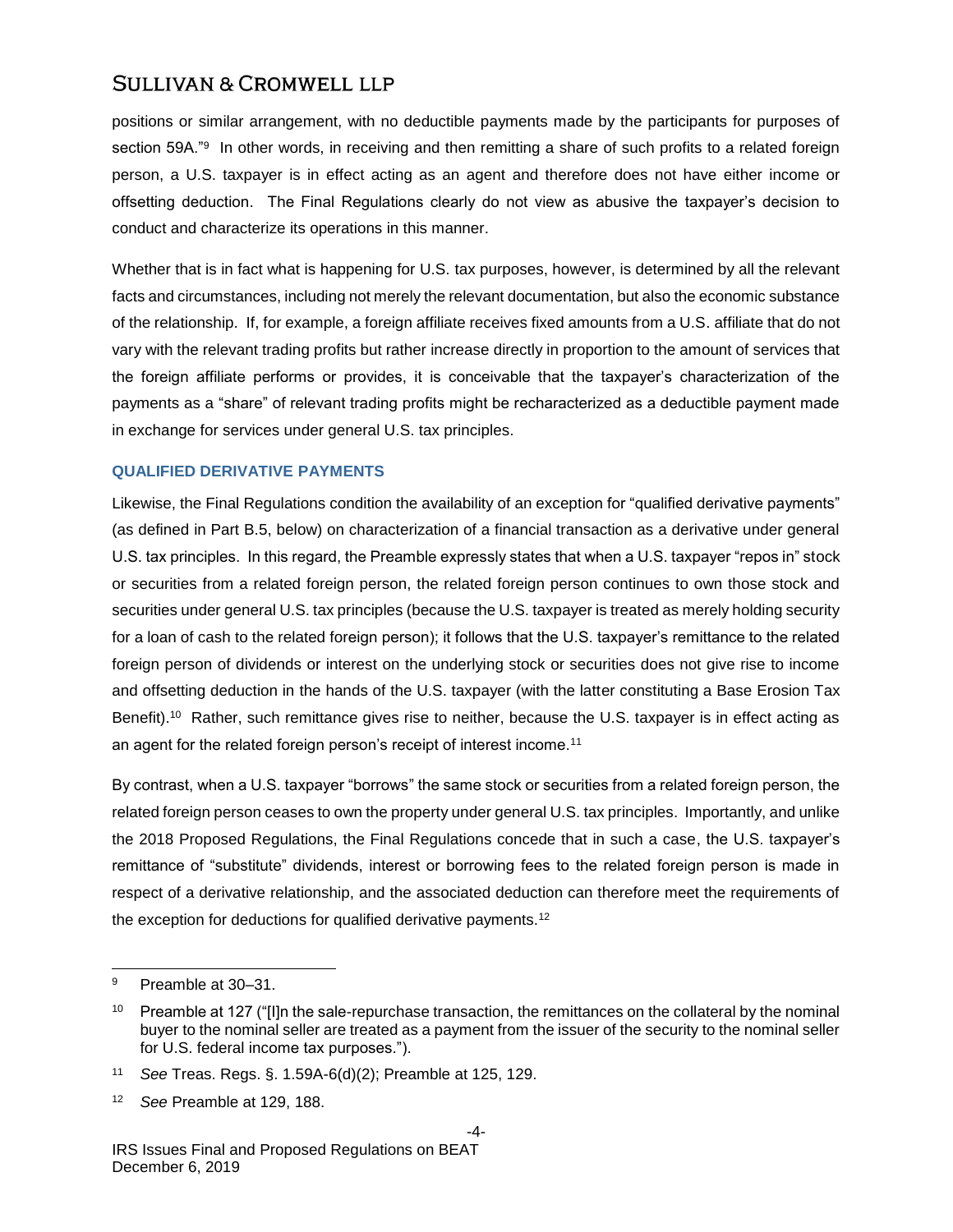positions or similar arrangement, with no deductible payments made by the participants for purposes of section 59A."<sup>9</sup> In other words, in receiving and then remitting a share of such profits to a related foreign person, a U.S. taxpayer is in effect acting as an agent and therefore does not have either income or offsetting deduction. The Final Regulations clearly do not view as abusive the taxpayer's decision to conduct and characterize its operations in this manner.

Whether that is in fact what is happening for U.S. tax purposes, however, is determined by all the relevant facts and circumstances, including not merely the relevant documentation, but also the economic substance of the relationship. If, for example, a foreign affiliate receives fixed amounts from a U.S. affiliate that do not vary with the relevant trading profits but rather increase directly in proportion to the amount of services that the foreign affiliate performs or provides, it is conceivable that the taxpayer's characterization of the payments as a "share" of relevant trading profits might be recharacterized as a deductible payment made in exchange for services under general U.S. tax principles.

### **QUALIFIED DERIVATIVE PAYMENTS**

Likewise, the Final Regulations condition the availability of an exception for "qualified derivative payments" (as defined in Part B.5, below) on characterization of a financial transaction as a derivative under general U.S. tax principles. In this regard, the Preamble expressly states that when a U.S. taxpayer "repos in" stock or securities from a related foreign person, the related foreign person continues to own those stock and securities under general U.S. tax principles (because the U.S. taxpayer is treated as merely holding security for a loan of cash to the related foreign person); it follows that the U.S. taxpayer's remittance to the related foreign person of dividends or interest on the underlying stock or securities does not give rise to income and offsetting deduction in the hands of the U.S. taxpayer (with the latter constituting a Base Erosion Tax Benefit).<sup>10</sup> Rather, such remittance gives rise to neither, because the U.S. taxpayer is in effect acting as an agent for the related foreign person's receipt of interest income.<sup>11</sup>

By contrast, when a U.S. taxpayer "borrows" the same stock or securities from a related foreign person, the related foreign person ceases to own the property under general U.S. tax principles. Importantly, and unlike the 2018 Proposed Regulations, the Final Regulations concede that in such a case, the U.S. taxpayer's remittance of "substitute" dividends, interest or borrowing fees to the related foreign person is made in respect of a derivative relationship, and the associated deduction can therefore meet the requirements of the exception for deductions for qualified derivative payments.<sup>12</sup>

<sup>9</sup> Preamble at 30–31.

<sup>&</sup>lt;sup>10</sup> Preamble at 127 ("[I]n the sale-repurchase transaction, the remittances on the collateral by the nominal buyer to the nominal seller are treated as a payment from the issuer of the security to the nominal seller for U.S. federal income tax purposes.").

<sup>11</sup> *See* Treas. Regs. §. 1.59A-6(d)(2); Preamble at 125, 129.

<sup>12</sup> *See* Preamble at 129, 188.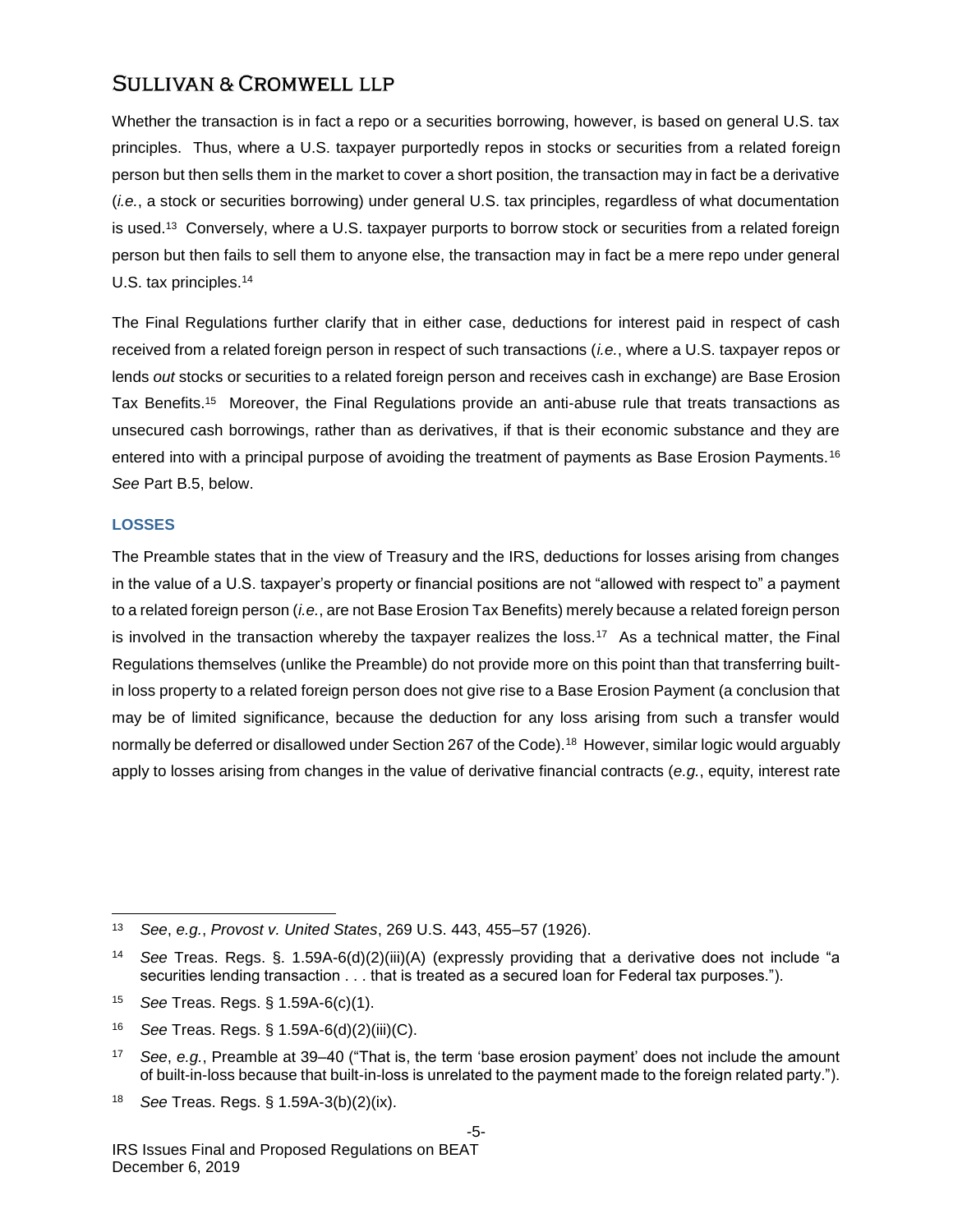Whether the transaction is in fact a repo or a securities borrowing, however, is based on general U.S. tax principles. Thus, where a U.S. taxpayer purportedly repos in stocks or securities from a related foreign person but then sells them in the market to cover a short position, the transaction may in fact be a derivative (*i.e.*, a stock or securities borrowing) under general U.S. tax principles, regardless of what documentation is used.<sup>13</sup> Conversely, where a U.S. taxpayer purports to borrow stock or securities from a related foreign person but then fails to sell them to anyone else, the transaction may in fact be a mere repo under general U.S. tax principles.<sup>14</sup>

The Final Regulations further clarify that in either case, deductions for interest paid in respect of cash received from a related foreign person in respect of such transactions (*i.e.*, where a U.S. taxpayer repos or lends *out* stocks or securities to a related foreign person and receives cash in exchange) are Base Erosion Tax Benefits.<sup>15</sup> Moreover, the Final Regulations provide an anti-abuse rule that treats transactions as unsecured cash borrowings, rather than as derivatives, if that is their economic substance and they are entered into with a principal purpose of avoiding the treatment of payments as Base Erosion Payments.<sup>16</sup> *See* Part B.5, below.

### **LOSSES**

The Preamble states that in the view of Treasury and the IRS, deductions for losses arising from changes in the value of a U.S. taxpayer's property or financial positions are not "allowed with respect to" a payment to a related foreign person (*i.e.*, are not Base Erosion Tax Benefits) merely because a related foreign person is involved in the transaction whereby the taxpayer realizes the loss.<sup>17</sup> As a technical matter, the Final Regulations themselves (unlike the Preamble) do not provide more on this point than that transferring builtin loss property to a related foreign person does not give rise to a Base Erosion Payment (a conclusion that may be of limited significance, because the deduction for any loss arising from such a transfer would normally be deferred or disallowed under Section 267 of the Code).<sup>18</sup> However, similar logic would arguably apply to losses arising from changes in the value of derivative financial contracts (*e.g.*, equity, interest rate

l <sup>13</sup> *See*, *e.g.*, *Provost v. United States*, 269 U.S. 443, 455–57 (1926).

<sup>14</sup> *See* Treas. Regs. §. 1.59A-6(d)(2)(iii)(A) (expressly providing that a derivative does not include "a securities lending transaction . . . that is treated as a secured loan for Federal tax purposes.").

<sup>15</sup> *See* Treas. Regs. § 1.59A-6(c)(1).

<sup>16</sup> *See* Treas. Regs. § 1.59A-6(d)(2)(iii)(C).

<sup>17</sup> *See*, *e.g.*, Preamble at 39–40 ("That is, the term 'base erosion payment' does not include the amount of built-in-loss because that built-in-loss is unrelated to the payment made to the foreign related party.").

<sup>18</sup> *See* Treas. Regs. § 1.59A-3(b)(2)(ix).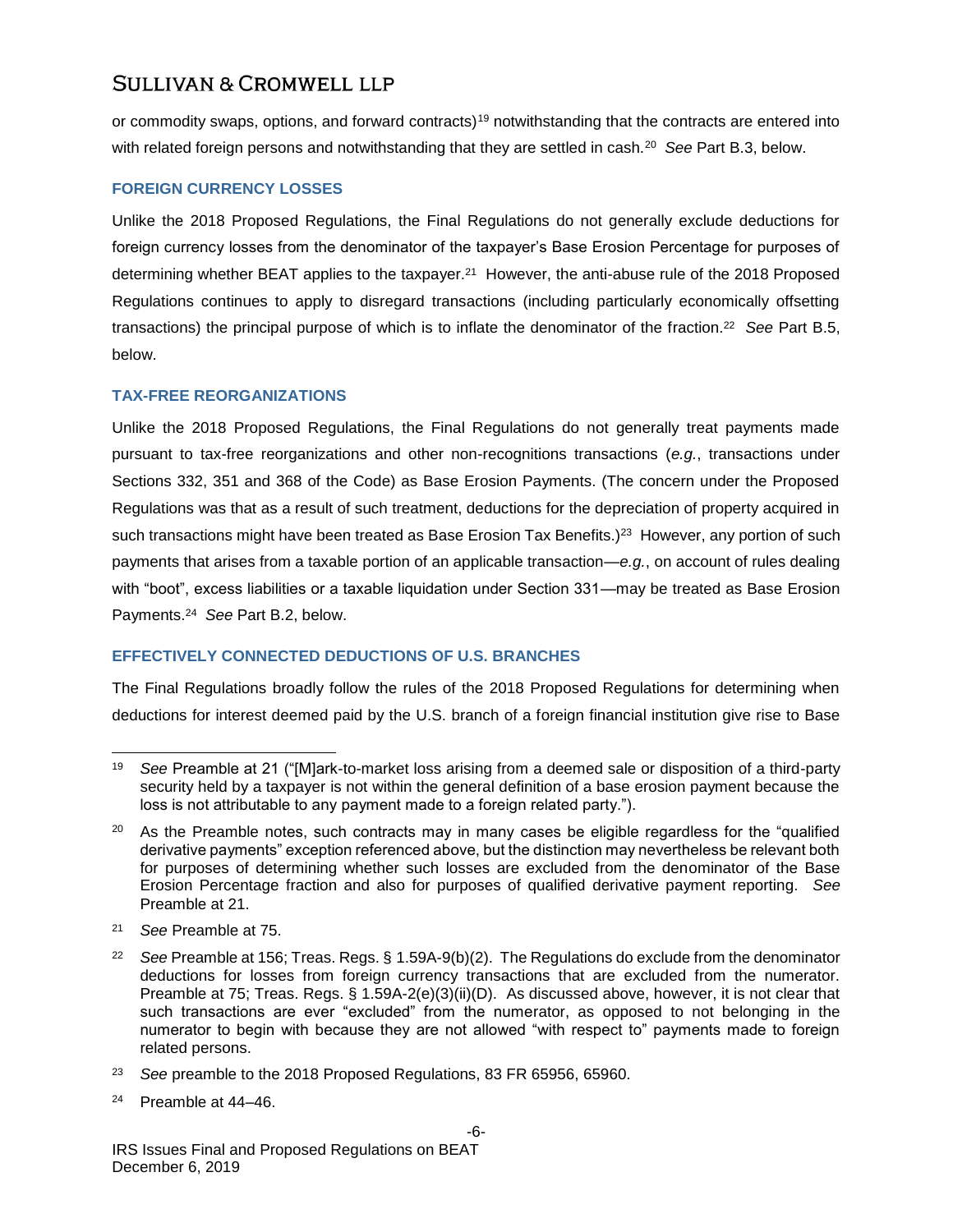or commodity swaps, options, and forward contracts)<sup>19</sup> notwithstanding that the contracts are entered into with related foreign persons and notwithstanding that they are settled in cash.<sup>20</sup> *See* Part B.3, below.

### **FOREIGN CURRENCY LOSSES**

Unlike the 2018 Proposed Regulations, the Final Regulations do not generally exclude deductions for foreign currency losses from the denominator of the taxpayer's Base Erosion Percentage for purposes of determining whether BEAT applies to the taxpayer.<sup>21</sup> However, the anti-abuse rule of the 2018 Proposed Regulations continues to apply to disregard transactions (including particularly economically offsetting transactions) the principal purpose of which is to inflate the denominator of the fraction.<sup>22</sup> *See* Part B.5, below.

### **TAX-FREE REORGANIZATIONS**

Unlike the 2018 Proposed Regulations, the Final Regulations do not generally treat payments made pursuant to tax-free reorganizations and other non-recognitions transactions (*e.g.*, transactions under Sections 332, 351 and 368 of the Code) as Base Erosion Payments. (The concern under the Proposed Regulations was that as a result of such treatment, deductions for the depreciation of property acquired in such transactions might have been treated as Base Erosion Tax Benefits.)<sup>23</sup> However, any portion of such payments that arises from a taxable portion of an applicable transaction—*e.g.*, on account of rules dealing with "boot", excess liabilities or a taxable liquidation under Section 331—may be treated as Base Erosion Payments.<sup>24</sup> *See* Part B.2, below.

### **EFFECTIVELY CONNECTED DEDUCTIONS OF U.S. BRANCHES**

The Final Regulations broadly follow the rules of the 2018 Proposed Regulations for determining when deductions for interest deemed paid by the U.S. branch of a foreign financial institution give rise to Base

l <sup>19</sup> *See* Preamble at 21 ("[M]ark-to-market loss arising from a deemed sale or disposition of a third-party security held by a taxpayer is not within the general definition of a base erosion payment because the loss is not attributable to any payment made to a foreign related party.").

<sup>&</sup>lt;sup>20</sup> As the Preamble notes, such contracts may in many cases be eligible regardless for the "qualified derivative payments" exception referenced above, but the distinction may nevertheless be relevant both for purposes of determining whether such losses are excluded from the denominator of the Base Erosion Percentage fraction and also for purposes of qualified derivative payment reporting. *See*  Preamble at 21.

<sup>21</sup> *See* Preamble at 75.

<sup>22</sup> *See* Preamble at 156; Treas. Regs. § 1.59A-9(b)(2). The Regulations do exclude from the denominator deductions for losses from foreign currency transactions that are excluded from the numerator. Preamble at 75; Treas. Regs. § 1.59A-2(e)(3)(ii)(D). As discussed above, however, it is not clear that such transactions are ever "excluded" from the numerator, as opposed to not belonging in the numerator to begin with because they are not allowed "with respect to" payments made to foreign related persons.

<sup>23</sup> *See* preamble to the 2018 Proposed Regulations, 83 FR 65956, 65960.

<sup>24</sup> Preamble at 44–46.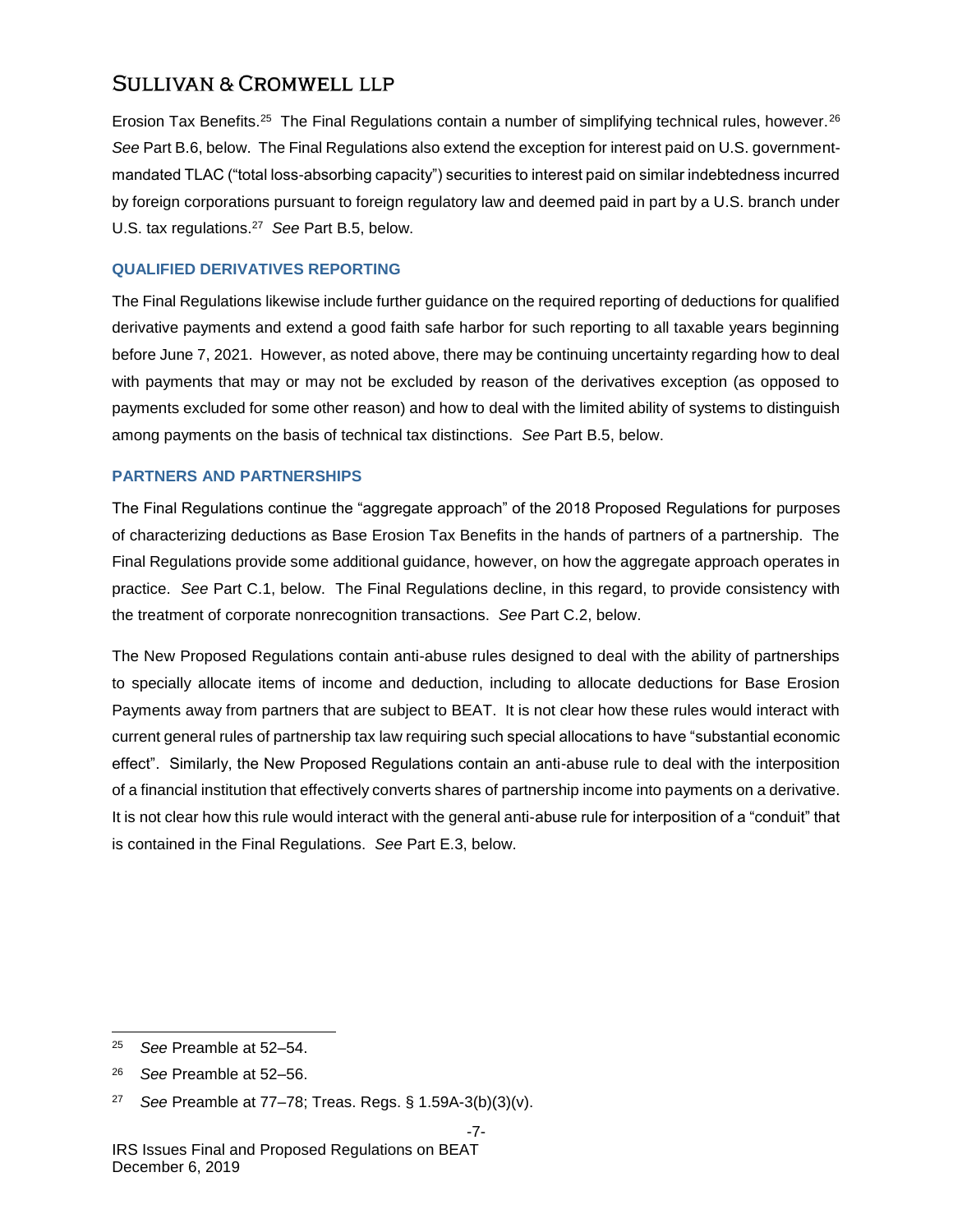Erosion Tax Benefits.<sup>25</sup> The Final Regulations contain a number of simplifying technical rules, however.<sup>26</sup> *See* Part B.6, below. The Final Regulations also extend the exception for interest paid on U.S. governmentmandated TLAC ("total loss-absorbing capacity") securities to interest paid on similar indebtedness incurred by foreign corporations pursuant to foreign regulatory law and deemed paid in part by a U.S. branch under U.S. tax regulations.<sup>27</sup> *See* Part B.5, below.

### **QUALIFIED DERIVATIVES REPORTING**

The Final Regulations likewise include further guidance on the required reporting of deductions for qualified derivative payments and extend a good faith safe harbor for such reporting to all taxable years beginning before June 7, 2021. However, as noted above, there may be continuing uncertainty regarding how to deal with payments that may or may not be excluded by reason of the derivatives exception (as opposed to payments excluded for some other reason) and how to deal with the limited ability of systems to distinguish among payments on the basis of technical tax distinctions. *See* Part B.5, below.

### **PARTNERS AND PARTNERSHIPS**

The Final Regulations continue the "aggregate approach" of the 2018 Proposed Regulations for purposes of characterizing deductions as Base Erosion Tax Benefits in the hands of partners of a partnership. The Final Regulations provide some additional guidance, however, on how the aggregate approach operates in practice. *See* Part C.1, below. The Final Regulations decline, in this regard, to provide consistency with the treatment of corporate nonrecognition transactions. *See* Part C.2, below.

The New Proposed Regulations contain anti-abuse rules designed to deal with the ability of partnerships to specially allocate items of income and deduction, including to allocate deductions for Base Erosion Payments away from partners that are subject to BEAT. It is not clear how these rules would interact with current general rules of partnership tax law requiring such special allocations to have "substantial economic effect". Similarly, the New Proposed Regulations contain an anti-abuse rule to deal with the interposition of a financial institution that effectively converts shares of partnership income into payments on a derivative. It is not clear how this rule would interact with the general anti-abuse rule for interposition of a "conduit" that is contained in the Final Regulations. *See* Part E.3, below.

<sup>25</sup> *See* Preamble at 52–54.

<sup>26</sup> *See* Preamble at 52–56.

<sup>27</sup> *See* Preamble at 77–78; Treas. Regs. § 1.59A-3(b)(3)(v).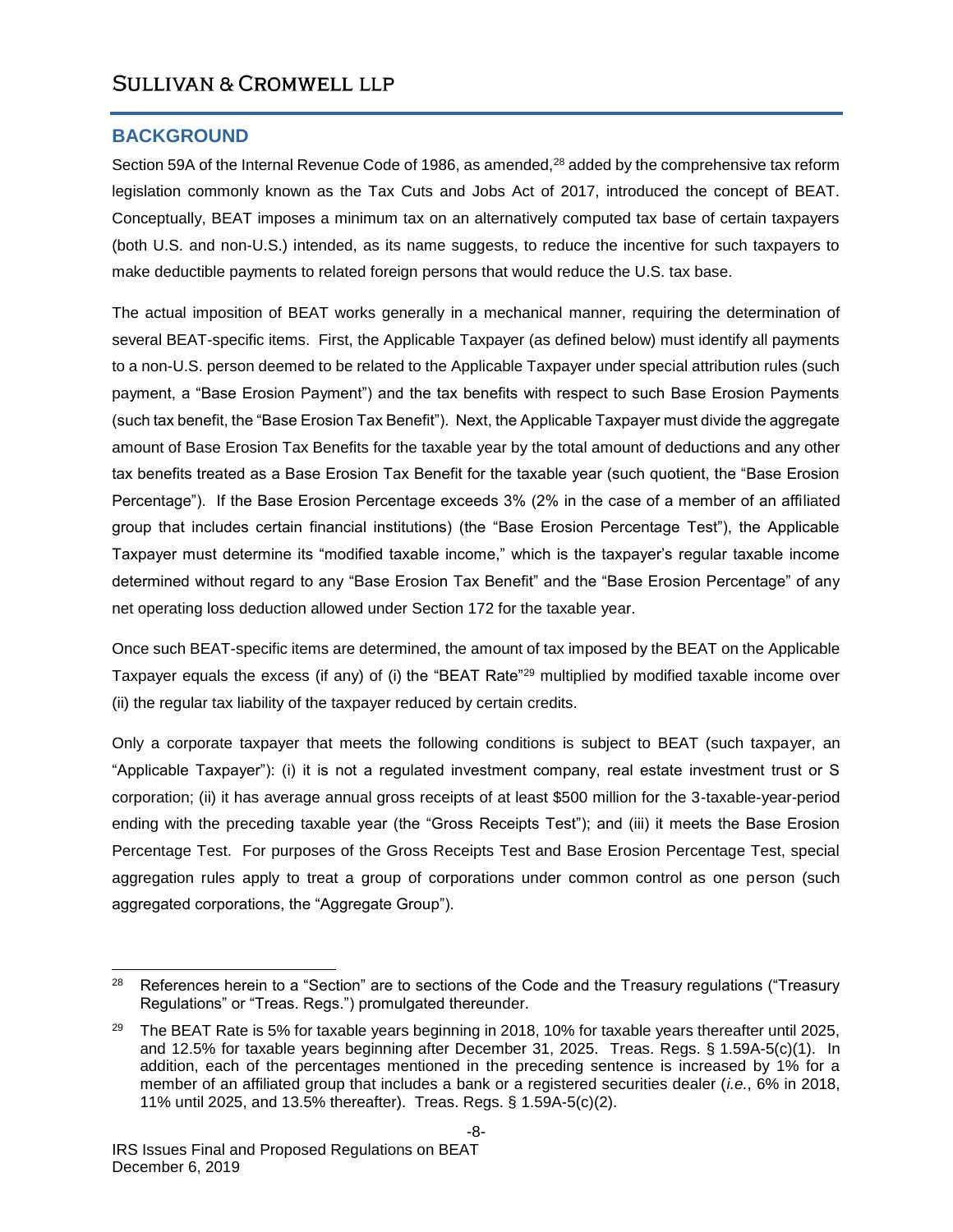### **BACKGROUND**

Section 59A of the Internal Revenue Code of 1986, as amended,<sup>28</sup> added by the comprehensive tax reform legislation commonly known as the Tax Cuts and Jobs Act of 2017, introduced the concept of BEAT. Conceptually, BEAT imposes a minimum tax on an alternatively computed tax base of certain taxpayers (both U.S. and non-U.S.) intended, as its name suggests, to reduce the incentive for such taxpayers to make deductible payments to related foreign persons that would reduce the U.S. tax base.

The actual imposition of BEAT works generally in a mechanical manner, requiring the determination of several BEAT-specific items. First, the Applicable Taxpayer (as defined below) must identify all payments to a non-U.S. person deemed to be related to the Applicable Taxpayer under special attribution rules (such payment, a "Base Erosion Payment") and the tax benefits with respect to such Base Erosion Payments (such tax benefit, the "Base Erosion Tax Benefit"). Next, the Applicable Taxpayer must divide the aggregate amount of Base Erosion Tax Benefits for the taxable year by the total amount of deductions and any other tax benefits treated as a Base Erosion Tax Benefit for the taxable year (such quotient, the "Base Erosion Percentage"). If the Base Erosion Percentage exceeds 3% (2% in the case of a member of an affiliated group that includes certain financial institutions) (the "Base Erosion Percentage Test"), the Applicable Taxpayer must determine its "modified taxable income," which is the taxpayer's regular taxable income determined without regard to any "Base Erosion Tax Benefit" and the "Base Erosion Percentage" of any net operating loss deduction allowed under Section 172 for the taxable year.

Once such BEAT-specific items are determined, the amount of tax imposed by the BEAT on the Applicable Taxpayer equals the excess (if any) of (i) the "BEAT Rate"<sup>29</sup> multiplied by modified taxable income over (ii) the regular tax liability of the taxpayer reduced by certain credits.

Only a corporate taxpayer that meets the following conditions is subject to BEAT (such taxpayer, an "Applicable Taxpayer"): (i) it is not a regulated investment company, real estate investment trust or S corporation; (ii) it has average annual gross receipts of at least \$500 million for the 3-taxable-year-period ending with the preceding taxable year (the "Gross Receipts Test"); and (iii) it meets the Base Erosion Percentage Test. For purposes of the Gross Receipts Test and Base Erosion Percentage Test, special aggregation rules apply to treat a group of corporations under common control as one person (such aggregated corporations, the "Aggregate Group").

l <sup>28</sup> References herein to a "Section" are to sections of the Code and the Treasury regulations ("Treasury Regulations" or "Treas. Regs.") promulgated thereunder.

<sup>&</sup>lt;sup>29</sup> The BEAT Rate is 5% for taxable years beginning in 2018, 10% for taxable years thereafter until 2025, and 12.5% for taxable years beginning after December 31, 2025. Treas. Regs. § 1.59A-5(c)(1). In addition, each of the percentages mentioned in the preceding sentence is increased by 1% for a member of an affiliated group that includes a bank or a registered securities dealer (*i.e.*, 6% in 2018, 11% until 2025, and 13.5% thereafter). Treas. Regs. § 1.59A-5(c)(2).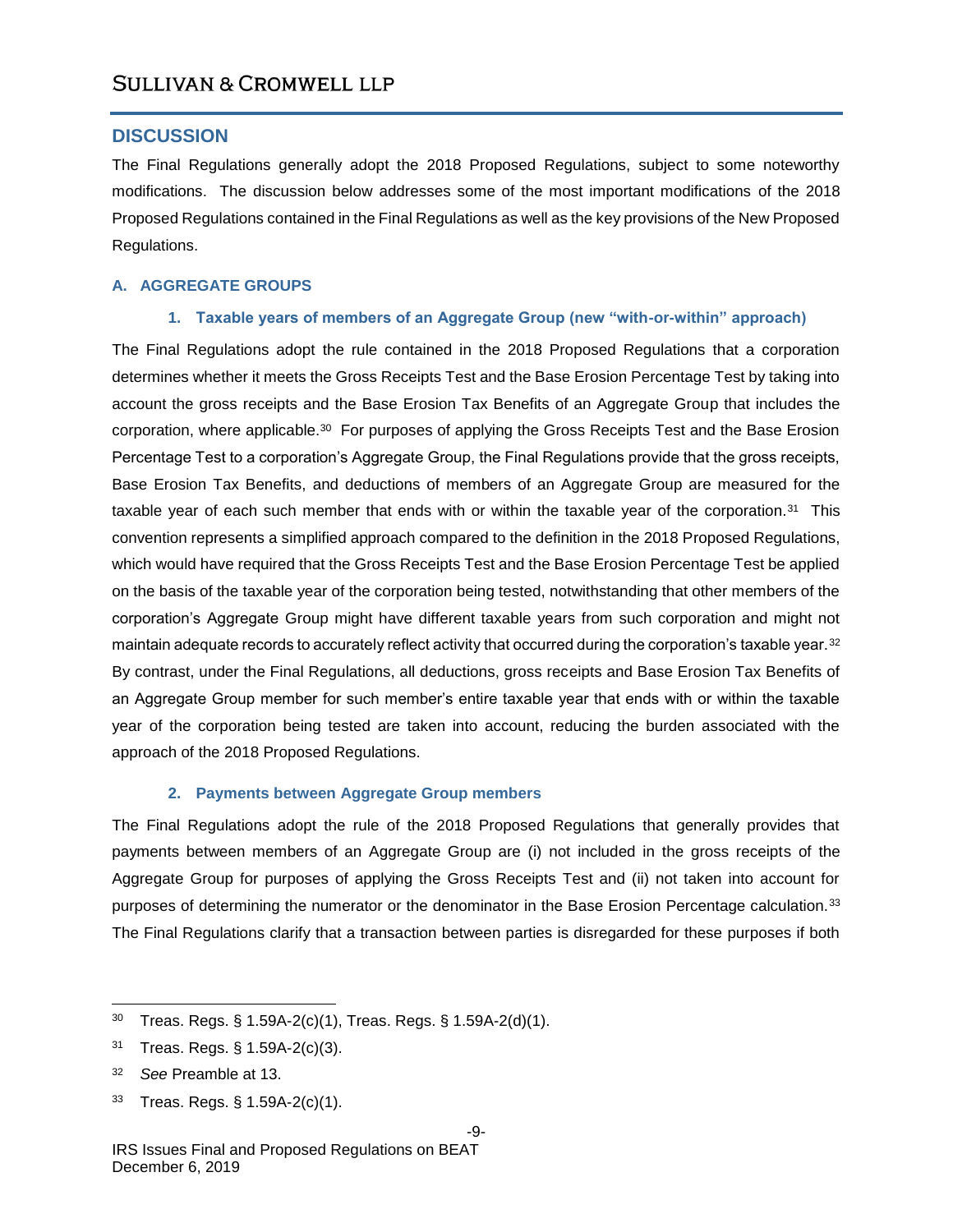### **DISCUSSION**

The Final Regulations generally adopt the 2018 Proposed Regulations, subject to some noteworthy modifications. The discussion below addresses some of the most important modifications of the 2018 Proposed Regulations contained in the Final Regulations as well as the key provisions of the New Proposed Regulations.

### **A. AGGREGATE GROUPS**

### **1. Taxable years of members of an Aggregate Group (new "with-or-within" approach)**

The Final Regulations adopt the rule contained in the 2018 Proposed Regulations that a corporation determines whether it meets the Gross Receipts Test and the Base Erosion Percentage Test by taking into account the gross receipts and the Base Erosion Tax Benefits of an Aggregate Group that includes the corporation, where applicable.<sup>30</sup> For purposes of applying the Gross Receipts Test and the Base Erosion Percentage Test to a corporation's Aggregate Group, the Final Regulations provide that the gross receipts, Base Erosion Tax Benefits, and deductions of members of an Aggregate Group are measured for the taxable year of each such member that ends with or within the taxable year of the corporation.<sup>31</sup> This convention represents a simplified approach compared to the definition in the 2018 Proposed Regulations, which would have required that the Gross Receipts Test and the Base Erosion Percentage Test be applied on the basis of the taxable year of the corporation being tested, notwithstanding that other members of the corporation's Aggregate Group might have different taxable years from such corporation and might not maintain adequate records to accurately reflect activity that occurred during the corporation's taxable year. $^\mathrm{32}$ By contrast, under the Final Regulations, all deductions, gross receipts and Base Erosion Tax Benefits of an Aggregate Group member for such member's entire taxable year that ends with or within the taxable year of the corporation being tested are taken into account, reducing the burden associated with the approach of the 2018 Proposed Regulations.

### **2. Payments between Aggregate Group members**

The Final Regulations adopt the rule of the 2018 Proposed Regulations that generally provides that payments between members of an Aggregate Group are (i) not included in the gross receipts of the Aggregate Group for purposes of applying the Gross Receipts Test and (ii) not taken into account for purposes of determining the numerator or the denominator in the Base Erosion Percentage calculation.<sup>33</sup> The Final Regulations clarify that a transaction between parties is disregarded for these purposes if both

<sup>33</sup> Treas. Regs. § 1.59A-2(c)(1).

l <sup>30</sup> Treas. Regs. § 1.59A-2(c)(1), Treas. Regs. § 1.59A-2(d)(1).

<sup>31</sup> Treas. Regs. § 1.59A-2(c)(3).

<sup>32</sup> *See* Preamble at 13.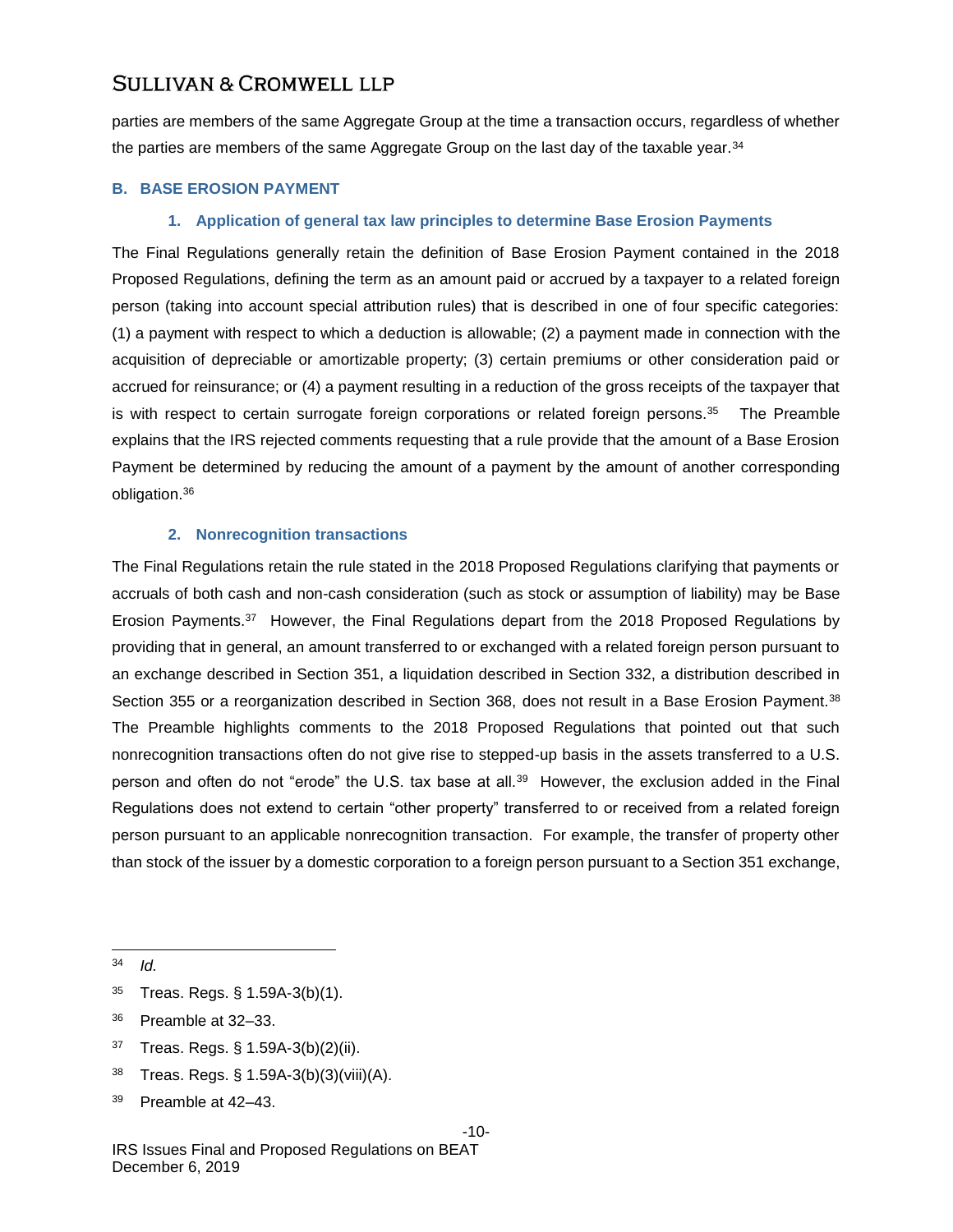parties are members of the same Aggregate Group at the time a transaction occurs, regardless of whether the parties are members of the same Aggregate Group on the last day of the taxable year.<sup>34</sup>

### **B. BASE EROSION PAYMENT**

#### **1. Application of general tax law principles to determine Base Erosion Payments**

The Final Regulations generally retain the definition of Base Erosion Payment contained in the 2018 Proposed Regulations, defining the term as an amount paid or accrued by a taxpayer to a related foreign person (taking into account special attribution rules) that is described in one of four specific categories: (1) a payment with respect to which a deduction is allowable; (2) a payment made in connection with the acquisition of depreciable or amortizable property; (3) certain premiums or other consideration paid or accrued for reinsurance; or (4) a payment resulting in a reduction of the gross receipts of the taxpayer that is with respect to certain surrogate foreign corporations or related foreign persons.<sup>35</sup> The Preamble explains that the IRS rejected comments requesting that a rule provide that the amount of a Base Erosion Payment be determined by reducing the amount of a payment by the amount of another corresponding obligation.<sup>36</sup>

### **2. Nonrecognition transactions**

The Final Regulations retain the rule stated in the 2018 Proposed Regulations clarifying that payments or accruals of both cash and non-cash consideration (such as stock or assumption of liability) may be Base Erosion Payments.<sup>37</sup> However, the Final Regulations depart from the 2018 Proposed Regulations by providing that in general, an amount transferred to or exchanged with a related foreign person pursuant to an exchange described in Section 351, a liquidation described in Section 332, a distribution described in Section 355 or a reorganization described in Section 368, does not result in a Base Erosion Payment.<sup>38</sup> The Preamble highlights comments to the 2018 Proposed Regulations that pointed out that such nonrecognition transactions often do not give rise to stepped-up basis in the assets transferred to a U.S. person and often do not "erode" the U.S. tax base at all.<sup>39</sup> However, the exclusion added in the Final Regulations does not extend to certain "other property" transferred to or received from a related foreign person pursuant to an applicable nonrecognition transaction. For example, the transfer of property other than stock of the issuer by a domestic corporation to a foreign person pursuant to a Section 351 exchange,

- <sup>35</sup> Treas. Regs. § 1.59A-3(b)(1).
- <sup>36</sup> Preamble at 32–33.
- <sup>37</sup> Treas. Regs. § 1.59A-3(b)(2)(ii).
- <sup>38</sup> Treas. Regs. § 1.59A-3(b)(3)(viii)(A).
- <sup>39</sup> Preamble at 42–43.

<sup>34</sup> *Id.*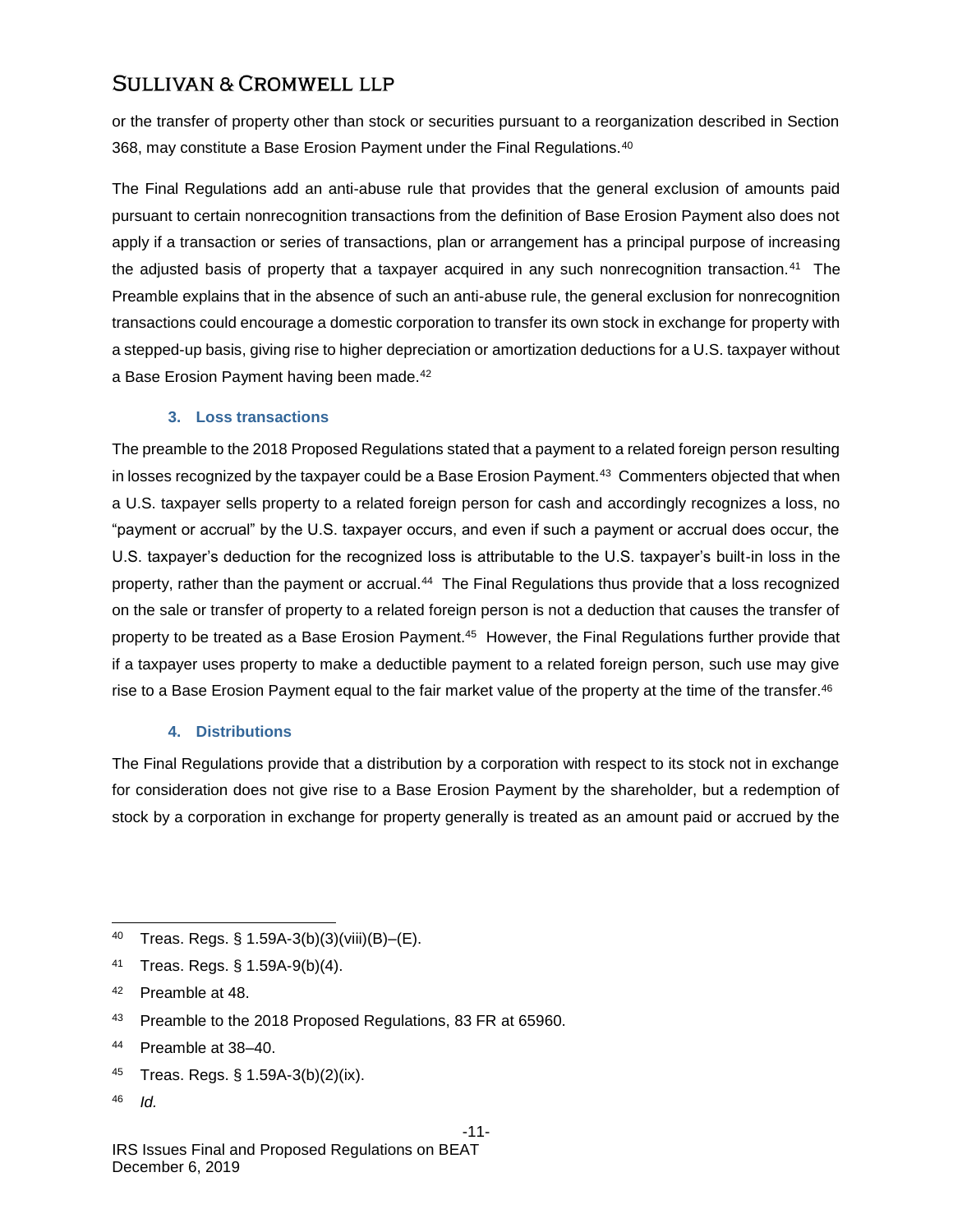or the transfer of property other than stock or securities pursuant to a reorganization described in Section 368, may constitute a Base Erosion Payment under the Final Regulations.<sup>40</sup>

The Final Regulations add an anti-abuse rule that provides that the general exclusion of amounts paid pursuant to certain nonrecognition transactions from the definition of Base Erosion Payment also does not apply if a transaction or series of transactions, plan or arrangement has a principal purpose of increasing the adjusted basis of property that a taxpayer acquired in any such nonrecognition transaction.<sup>41</sup> The Preamble explains that in the absence of such an anti-abuse rule, the general exclusion for nonrecognition transactions could encourage a domestic corporation to transfer its own stock in exchange for property with a stepped-up basis, giving rise to higher depreciation or amortization deductions for a U.S. taxpayer without a Base Erosion Payment having been made.<sup>42</sup>

### **3. Loss transactions**

The preamble to the 2018 Proposed Regulations stated that a payment to a related foreign person resulting in losses recognized by the taxpayer could be a Base Erosion Payment.<sup>43</sup> Commenters objected that when a U.S. taxpayer sells property to a related foreign person for cash and accordingly recognizes a loss, no "payment or accrual" by the U.S. taxpayer occurs, and even if such a payment or accrual does occur, the U.S. taxpayer's deduction for the recognized loss is attributable to the U.S. taxpayer's built-in loss in the property, rather than the payment or accrual.<sup>44</sup> The Final Regulations thus provide that a loss recognized on the sale or transfer of property to a related foreign person is not a deduction that causes the transfer of property to be treated as a Base Erosion Payment.<sup>45</sup> However, the Final Regulations further provide that if a taxpayer uses property to make a deductible payment to a related foreign person, such use may give rise to a Base Erosion Payment equal to the fair market value of the property at the time of the transfer.<sup>46</sup>

### **4. Distributions**

The Final Regulations provide that a distribution by a corporation with respect to its stock not in exchange for consideration does not give rise to a Base Erosion Payment by the shareholder, but a redemption of stock by a corporation in exchange for property generally is treated as an amount paid or accrued by the

<sup>40</sup> Treas. Regs. § 1.59A-3(b)(3)(viii)(B)–(E).

- <sup>41</sup> Treas. Regs. § 1.59A-9(b)(4).
- <sup>42</sup> Preamble at 48.
- 43 Preamble to the 2018 Proposed Regulations, 83 FR at 65960.
- <sup>44</sup> Preamble at 38–40.
- <sup>45</sup> Treas. Regs. § 1.59A-3(b)(2)(ix).
- <sup>46</sup> *Id.*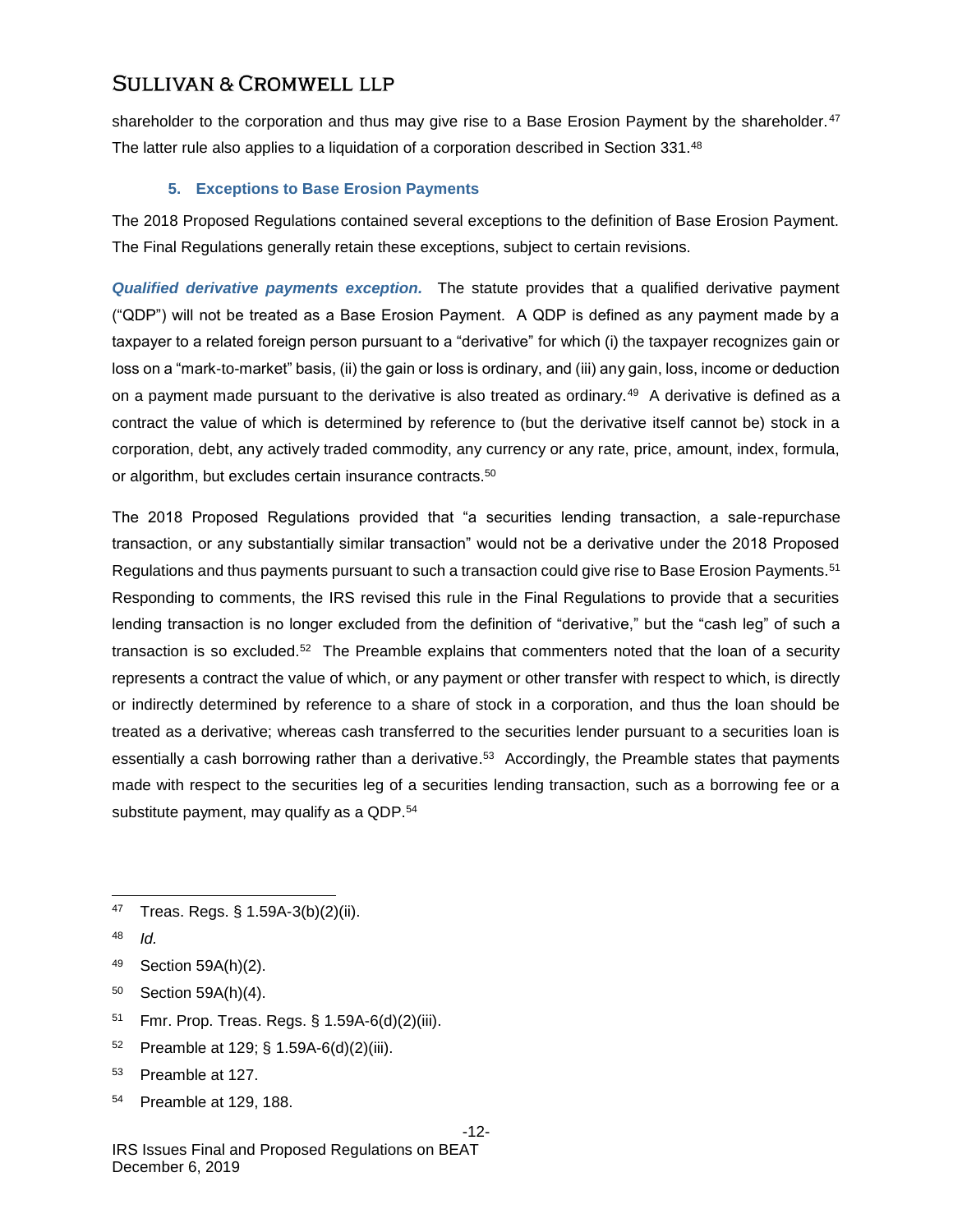shareholder to the corporation and thus may give rise to a Base Erosion Payment by the shareholder.<sup>47</sup> The latter rule also applies to a liquidation of a corporation described in Section 331.<sup>48</sup>

### **5. Exceptions to Base Erosion Payments**

The 2018 Proposed Regulations contained several exceptions to the definition of Base Erosion Payment. The Final Regulations generally retain these exceptions, subject to certain revisions.

*Qualified derivative payments exception.* The statute provides that a qualified derivative payment ("QDP") will not be treated as a Base Erosion Payment. A QDP is defined as any payment made by a taxpayer to a related foreign person pursuant to a "derivative" for which (i) the taxpayer recognizes gain or loss on a "mark-to-market" basis, (ii) the gain or loss is ordinary, and (iii) any gain, loss, income or deduction on a payment made pursuant to the derivative is also treated as ordinary.<sup>49</sup> A derivative is defined as a contract the value of which is determined by reference to (but the derivative itself cannot be) stock in a corporation, debt, any actively traded commodity, any currency or any rate, price, amount, index, formula, or algorithm, but excludes certain insurance contracts.<sup>50</sup>

The 2018 Proposed Regulations provided that "a securities lending transaction, a sale-repurchase transaction, or any substantially similar transaction" would not be a derivative under the 2018 Proposed Regulations and thus payments pursuant to such a transaction could give rise to Base Erosion Payments.<sup>51</sup> Responding to comments, the IRS revised this rule in the Final Regulations to provide that a securities lending transaction is no longer excluded from the definition of "derivative," but the "cash leg" of such a transaction is so excluded.<sup>52</sup> The Preamble explains that commenters noted that the loan of a security represents a contract the value of which, or any payment or other transfer with respect to which, is directly or indirectly determined by reference to a share of stock in a corporation, and thus the loan should be treated as a derivative; whereas cash transferred to the securities lender pursuant to a securities loan is essentially a cash borrowing rather than a derivative.<sup>53</sup> Accordingly, the Preamble states that payments made with respect to the securities leg of a securities lending transaction, such as a borrowing fee or a substitute payment, may qualify as a QDP.<sup>54</sup>

- <sup>49</sup> Section 59A(h)(2).
- <sup>50</sup> Section 59A(h)(4).
- <sup>51</sup> Fmr. Prop. Treas. Regs. § 1.59A-6(d)(2)(iii).
- 52 Preamble at 129; § 1.59A-6(d)(2)(iii).
- <sup>53</sup> Preamble at 127.
- <sup>54</sup> Preamble at 129, 188.

l <sup>47</sup> Treas. Regs. § 1.59A-3(b)(2)(ii).

<sup>48</sup> *Id.*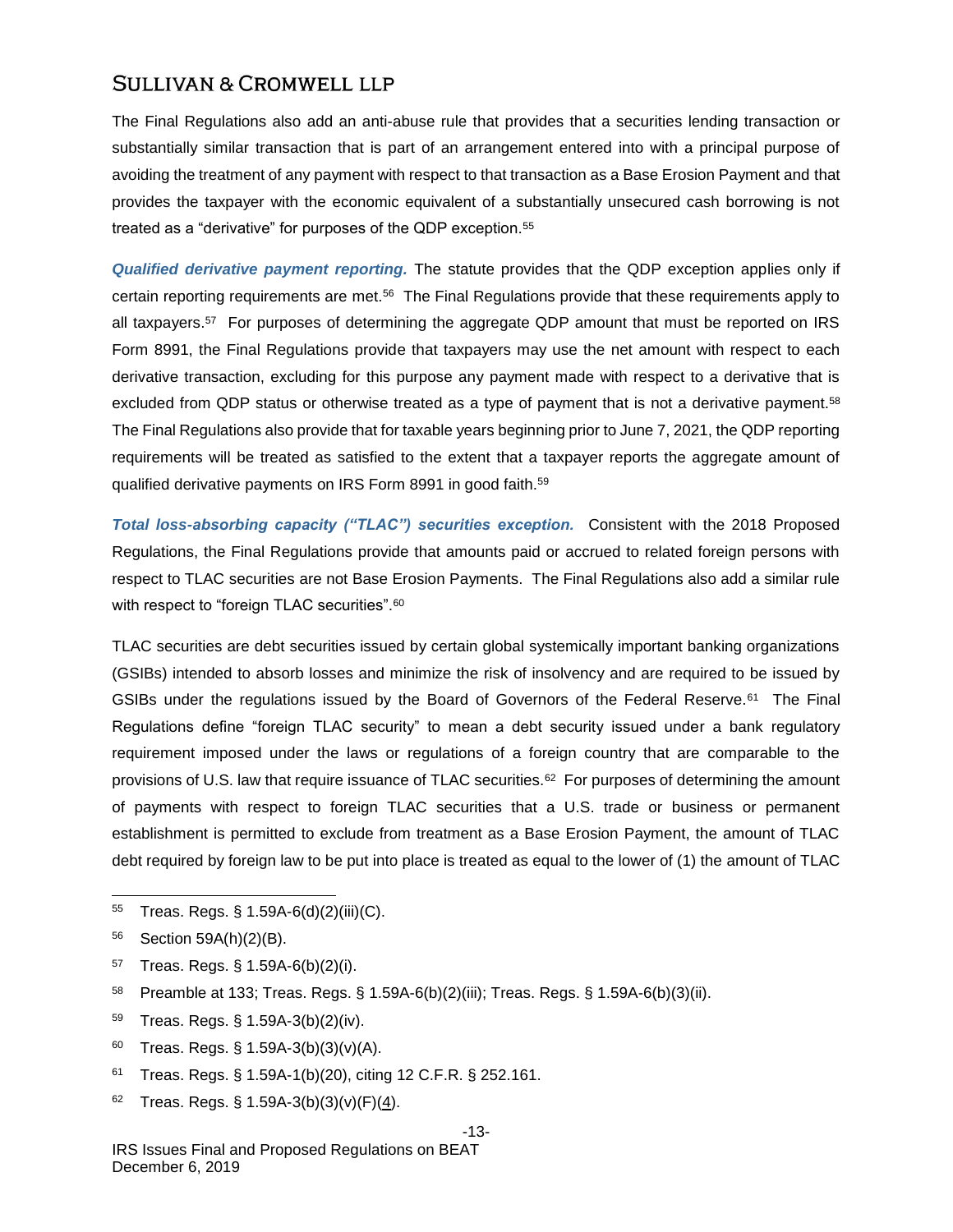The Final Regulations also add an anti-abuse rule that provides that a securities lending transaction or substantially similar transaction that is part of an arrangement entered into with a principal purpose of avoiding the treatment of any payment with respect to that transaction as a Base Erosion Payment and that provides the taxpayer with the economic equivalent of a substantially unsecured cash borrowing is not treated as a "derivative" for purposes of the QDP exception.<sup>55</sup>

*Qualified derivative payment reporting.* The statute provides that the QDP exception applies only if certain reporting requirements are met.<sup>56</sup> The Final Regulations provide that these requirements apply to all taxpayers.<sup>57</sup> For purposes of determining the aggregate QDP amount that must be reported on IRS Form 8991, the Final Regulations provide that taxpayers may use the net amount with respect to each derivative transaction, excluding for this purpose any payment made with respect to a derivative that is excluded from QDP status or otherwise treated as a type of payment that is not a derivative payment.<sup>58</sup> The Final Regulations also provide that for taxable years beginning prior to June 7, 2021, the QDP reporting requirements will be treated as satisfied to the extent that a taxpayer reports the aggregate amount of qualified derivative payments on IRS Form 8991 in good faith.<sup>59</sup>

*Total loss-absorbing capacity ("TLAC") securities exception.* Consistent with the 2018 Proposed Regulations, the Final Regulations provide that amounts paid or accrued to related foreign persons with respect to TLAC securities are not Base Erosion Payments. The Final Regulations also add a similar rule with respect to "foreign TLAC securities". $\rm ^{60}$ 

TLAC securities are debt securities issued by certain global systemically important banking organizations (GSIBs) intended to absorb losses and minimize the risk of insolvency and are required to be issued by GSIBs under the regulations issued by the Board of Governors of the Federal Reserve.<sup>61</sup> The Final Regulations define "foreign TLAC security" to mean a debt security issued under a bank regulatory requirement imposed under the laws or regulations of a foreign country that are comparable to the provisions of U.S. law that require issuance of TLAC securities.<sup>62</sup> For purposes of determining the amount of payments with respect to foreign TLAC securities that a U.S. trade or business or permanent establishment is permitted to exclude from treatment as a Base Erosion Payment, the amount of TLAC debt required by foreign law to be put into place is treated as equal to the lower of (1) the amount of TLAC

<sup>56</sup> Section 59A(h)(2)(B).

l

- <sup>57</sup> Treas. Regs. § 1.59A-6(b)(2)(i).
- <sup>58</sup> Preamble at 133; Treas. Regs. § 1.59A-6(b)(2)(iii); Treas. Regs. § 1.59A-6(b)(3)(ii).
- <sup>59</sup> Treas. Regs. § 1.59A-3(b)(2)(iv).
- 60 Treas. Regs.  $\S 1.59A-3(b)(3)(v)(A)$ .
- <sup>61</sup> Treas. Regs. § 1.59A-1(b)(20), citing 12 C.F.R. § 252.161.
- 62 Treas. Regs. § 1.59A-3(b)(3)(v)(F)(4).

#### -13-

<sup>55</sup> Treas. Regs. § 1.59A-6(d)(2)(iii)(C).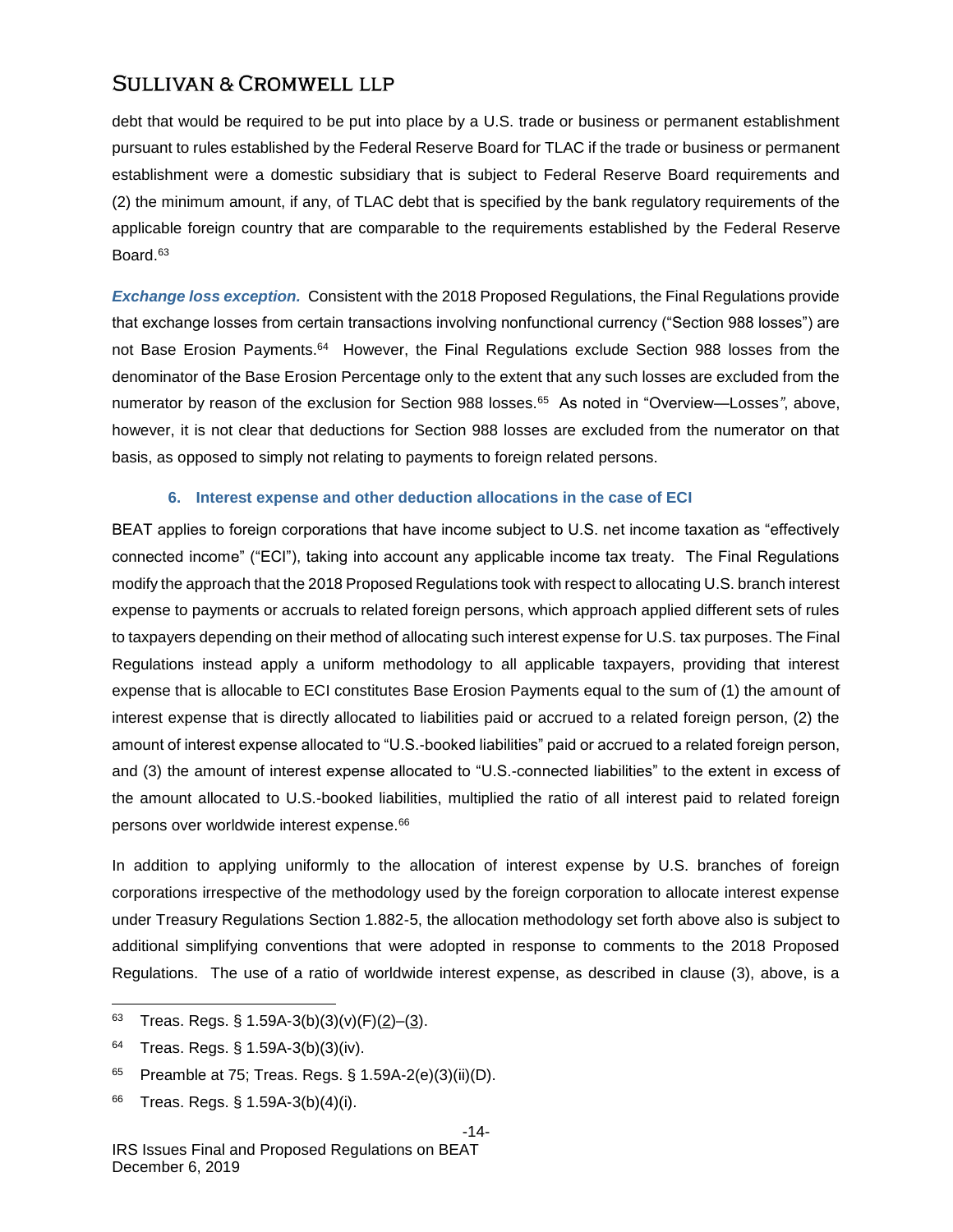debt that would be required to be put into place by a U.S. trade or business or permanent establishment pursuant to rules established by the Federal Reserve Board for TLAC if the trade or business or permanent establishment were a domestic subsidiary that is subject to Federal Reserve Board requirements and (2) the minimum amount, if any, of TLAC debt that is specified by the bank regulatory requirements of the applicable foreign country that are comparable to the requirements established by the Federal Reserve Board.<sup>63</sup>

*Exchange loss exception.* Consistent with the 2018 Proposed Regulations, the Final Regulations provide that exchange losses from certain transactions involving nonfunctional currency ("Section 988 losses") are not Base Erosion Payments.<sup>64</sup> However, the Final Regulations exclude Section 988 losses from the denominator of the Base Erosion Percentage only to the extent that any such losses are excluded from the numerator by reason of the exclusion for Section 988 losses.<sup>65</sup> As noted in "Overview—Losses", above, however, it is not clear that deductions for Section 988 losses are excluded from the numerator on that basis, as opposed to simply not relating to payments to foreign related persons.

### **6. Interest expense and other deduction allocations in the case of ECI**

BEAT applies to foreign corporations that have income subject to U.S. net income taxation as "effectively connected income" ("ECI"), taking into account any applicable income tax treaty. The Final Regulations modify the approach that the 2018 Proposed Regulations took with respect to allocating U.S. branch interest expense to payments or accruals to related foreign persons, which approach applied different sets of rules to taxpayers depending on their method of allocating such interest expense for U.S. tax purposes. The Final Regulations instead apply a uniform methodology to all applicable taxpayers, providing that interest expense that is allocable to ECI constitutes Base Erosion Payments equal to the sum of (1) the amount of interest expense that is directly allocated to liabilities paid or accrued to a related foreign person, (2) the amount of interest expense allocated to "U.S.-booked liabilities" paid or accrued to a related foreign person, and (3) the amount of interest expense allocated to "U.S.-connected liabilities" to the extent in excess of the amount allocated to U.S.-booked liabilities, multiplied the ratio of all interest paid to related foreign persons over worldwide interest expense.<sup>66</sup>

In addition to applying uniformly to the allocation of interest expense by U.S. branches of foreign corporations irrespective of the methodology used by the foreign corporation to allocate interest expense under Treasury Regulations Section 1.882-5, the allocation methodology set forth above also is subject to additional simplifying conventions that were adopted in response to comments to the 2018 Proposed Regulations. The use of a ratio of worldwide interest expense, as described in clause (3), above, is a

- <sup>64</sup> Treas. Regs. § 1.59A-3(b)(3)(iv).
- $65$  Preamble at 75; Treas. Regs. § 1.59A-2(e)(3)(ii)(D).
- <sup>66</sup> Treas. Regs. § 1.59A-3(b)(4)(i).

l 63 Treas. Regs. § 1.59A-3(b)(3)(v)(F)(2)-(3).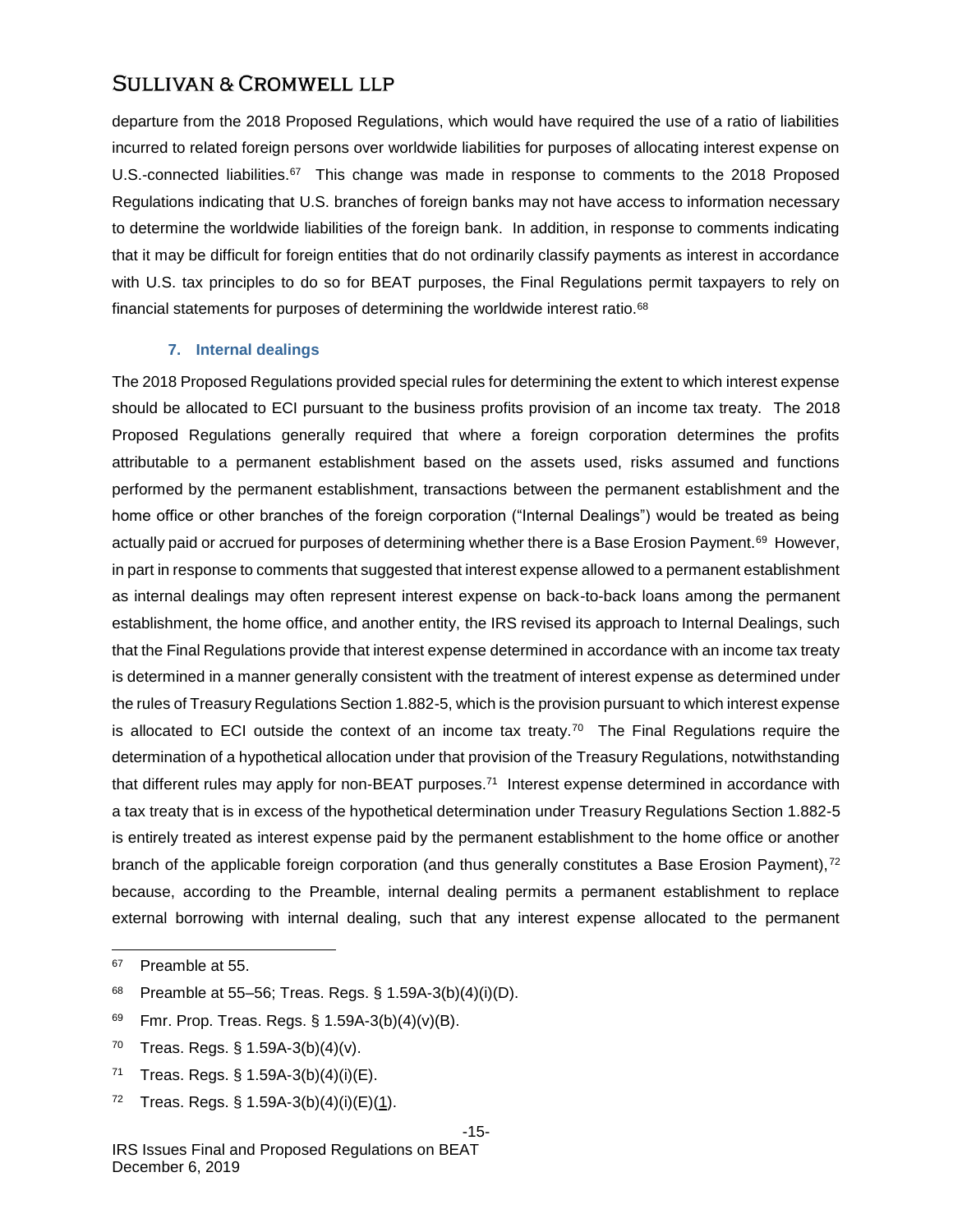departure from the 2018 Proposed Regulations, which would have required the use of a ratio of liabilities incurred to related foreign persons over worldwide liabilities for purposes of allocating interest expense on U.S.-connected liabilities.<sup>67</sup> This change was made in response to comments to the 2018 Proposed Regulations indicating that U.S. branches of foreign banks may not have access to information necessary to determine the worldwide liabilities of the foreign bank. In addition, in response to comments indicating that it may be difficult for foreign entities that do not ordinarily classify payments as interest in accordance with U.S. tax principles to do so for BEAT purposes, the Final Regulations permit taxpayers to rely on financial statements for purposes of determining the worldwide interest ratio.<sup>68</sup>

#### **7. Internal dealings**

The 2018 Proposed Regulations provided special rules for determining the extent to which interest expense should be allocated to ECI pursuant to the business profits provision of an income tax treaty. The 2018 Proposed Regulations generally required that where a foreign corporation determines the profits attributable to a permanent establishment based on the assets used, risks assumed and functions performed by the permanent establishment, transactions between the permanent establishment and the home office or other branches of the foreign corporation ("Internal Dealings") would be treated as being actually paid or accrued for purposes of determining whether there is a Base Erosion Payment.<sup>69</sup> However, in part in response to comments that suggested that interest expense allowed to a permanent establishment as internal dealings may often represent interest expense on back-to-back loans among the permanent establishment, the home office, and another entity, the IRS revised its approach to Internal Dealings, such that the Final Regulations provide that interest expense determined in accordance with an income tax treaty is determined in a manner generally consistent with the treatment of interest expense as determined under the rules of Treasury Regulations Section 1.882-5, which is the provision pursuant to which interest expense is allocated to ECI outside the context of an income tax treaty.<sup>70</sup> The Final Regulations require the determination of a hypothetical allocation under that provision of the Treasury Regulations, notwithstanding that different rules may apply for non-BEAT purposes.<sup>71</sup> Interest expense determined in accordance with a tax treaty that is in excess of the hypothetical determination under Treasury Regulations Section 1.882-5 is entirely treated as interest expense paid by the permanent establishment to the home office or another branch of the applicable foreign corporation (and thus generally constitutes a Base Erosion Payment),<sup>72</sup> because, according to the Preamble, internal dealing permits a permanent establishment to replace external borrowing with internal dealing, such that any interest expense allocated to the permanent

l

72 Treas. Regs. § 1.59A-3(b)(4)(i)(E)(1).

#### -15-

<sup>67</sup> Preamble at 55.

<sup>68</sup> Preamble at 55–56; Treas. Regs. § 1.59A-3(b)(4)(i)(D).

<sup>69</sup> Fmr. Prop. Treas. Regs.  $\S$  1.59A-3(b)(4)(v)(B).

<sup>&</sup>lt;sup>70</sup> Treas. Regs. § 1.59A-3(b)(4)(v).

<sup>71</sup> Treas. Regs. § 1.59A-3(b)(4)(i)(E).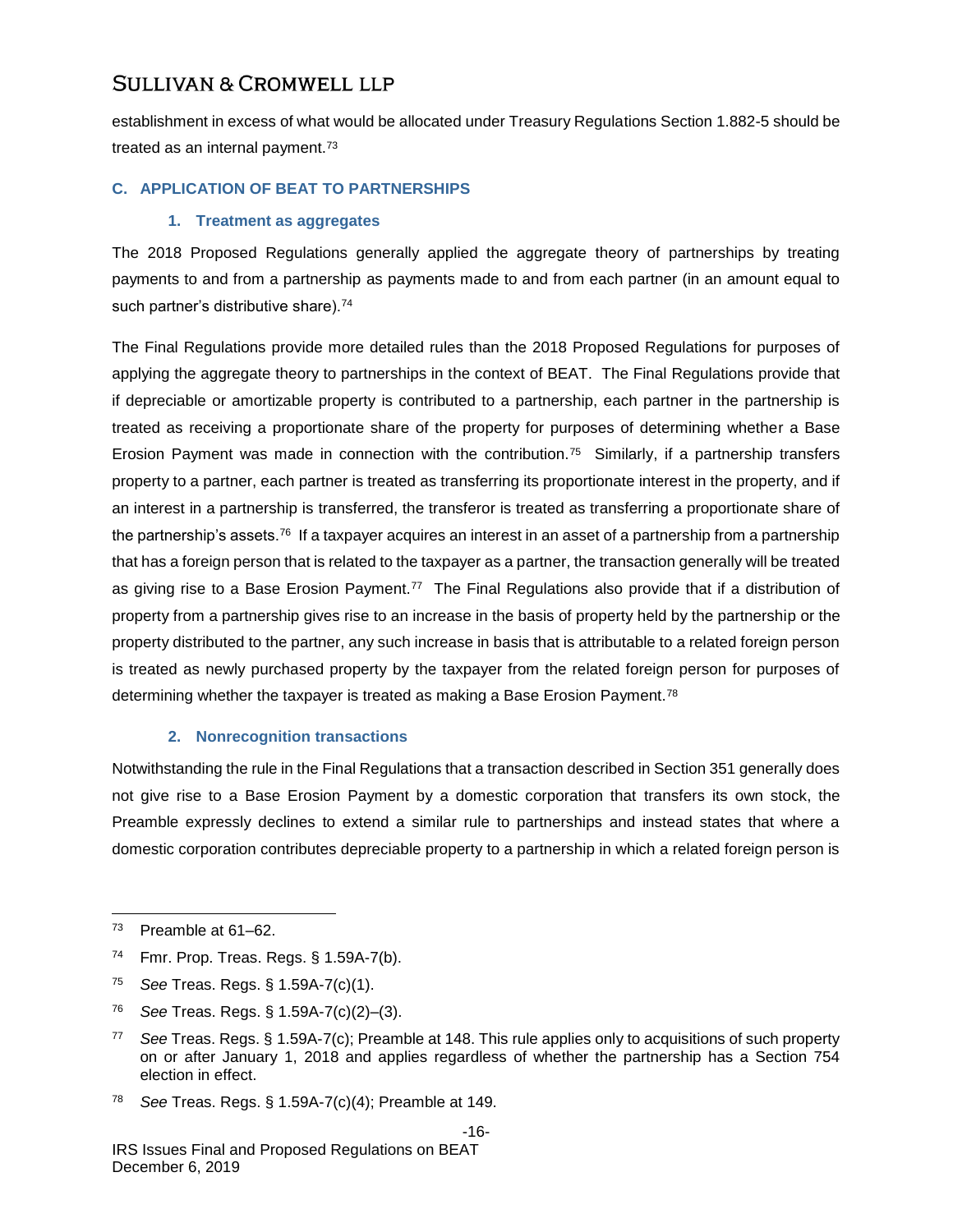establishment in excess of what would be allocated under Treasury Regulations Section 1.882-5 should be treated as an internal payment.<sup>73</sup>

### **C. APPLICATION OF BEAT TO PARTNERSHIPS**

### **1. Treatment as aggregates**

The 2018 Proposed Regulations generally applied the aggregate theory of partnerships by treating payments to and from a partnership as payments made to and from each partner (in an amount equal to such partner's distributive share).<sup>74</sup>

The Final Regulations provide more detailed rules than the 2018 Proposed Regulations for purposes of applying the aggregate theory to partnerships in the context of BEAT. The Final Regulations provide that if depreciable or amortizable property is contributed to a partnership, each partner in the partnership is treated as receiving a proportionate share of the property for purposes of determining whether a Base Erosion Payment was made in connection with the contribution.<sup>75</sup> Similarly, if a partnership transfers property to a partner, each partner is treated as transferring its proportionate interest in the property, and if an interest in a partnership is transferred, the transferor is treated as transferring a proportionate share of the partnership's assets.<sup>76</sup> If a taxpayer acquires an interest in an asset of a partnership from a partnership that has a foreign person that is related to the taxpayer as a partner, the transaction generally will be treated as giving rise to a Base Erosion Payment.<sup>77</sup> The Final Regulations also provide that if a distribution of property from a partnership gives rise to an increase in the basis of property held by the partnership or the property distributed to the partner, any such increase in basis that is attributable to a related foreign person is treated as newly purchased property by the taxpayer from the related foreign person for purposes of determining whether the taxpayer is treated as making a Base Erosion Payment.<sup>78</sup>

### **2. Nonrecognition transactions**

Notwithstanding the rule in the Final Regulations that a transaction described in Section 351 generally does not give rise to a Base Erosion Payment by a domestic corporation that transfers its own stock, the Preamble expressly declines to extend a similar rule to partnerships and instead states that where a domestic corporation contributes depreciable property to a partnership in which a related foreign person is

- <sup>74</sup> Fmr. Prop. Treas. Regs. § 1.59A-7(b).
- <sup>75</sup> *See* Treas. Regs. § 1.59A-7(c)(1).
- <sup>76</sup> *See* Treas. Regs. § 1.59A-7(c)(2)–(3).
- <sup>77</sup> *See* Treas. Regs. § 1.59A-7(c); Preamble at 148. This rule applies only to acquisitions of such property on or after January 1, 2018 and applies regardless of whether the partnership has a Section 754 election in effect.
- <sup>78</sup> *See* Treas. Regs. § 1.59A-7(c)(4); Preamble at 149.

<sup>73</sup> Preamble at 61–62.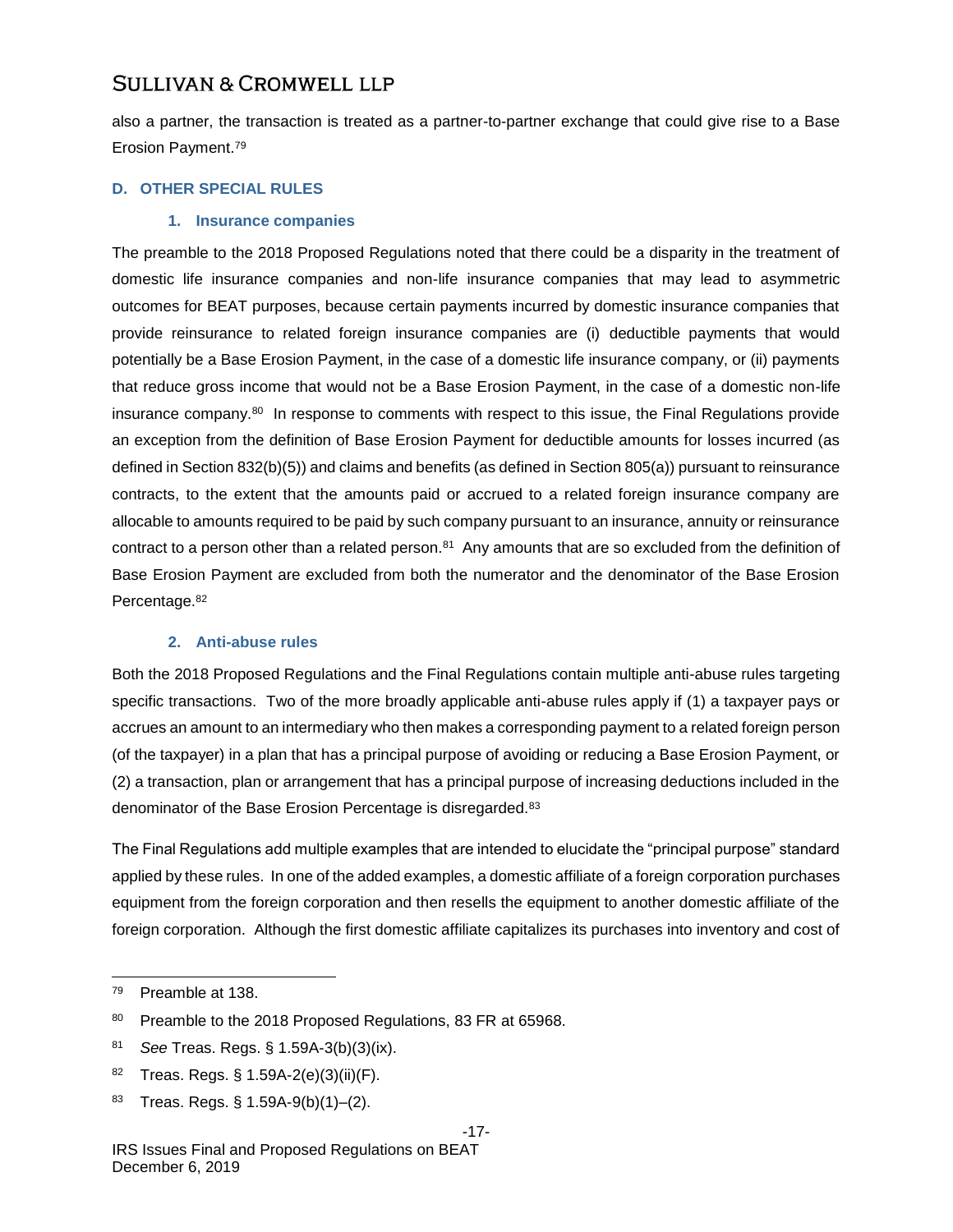also a partner, the transaction is treated as a partner-to-partner exchange that could give rise to a Base Erosion Payment.<sup>79</sup>

### **D. OTHER SPECIAL RULES**

### **1. Insurance companies**

The preamble to the 2018 Proposed Regulations noted that there could be a disparity in the treatment of domestic life insurance companies and non-life insurance companies that may lead to asymmetric outcomes for BEAT purposes, because certain payments incurred by domestic insurance companies that provide reinsurance to related foreign insurance companies are (i) deductible payments that would potentially be a Base Erosion Payment, in the case of a domestic life insurance company, or (ii) payments that reduce gross income that would not be a Base Erosion Payment, in the case of a domestic non-life insurance company.<sup>80</sup> In response to comments with respect to this issue, the Final Regulations provide an exception from the definition of Base Erosion Payment for deductible amounts for losses incurred (as defined in Section 832(b)(5)) and claims and benefits (as defined in Section 805(a)) pursuant to reinsurance contracts, to the extent that the amounts paid or accrued to a related foreign insurance company are allocable to amounts required to be paid by such company pursuant to an insurance, annuity or reinsurance contract to a person other than a related person.<sup>81</sup> Any amounts that are so excluded from the definition of Base Erosion Payment are excluded from both the numerator and the denominator of the Base Erosion Percentage.<sup>82</sup>

### **2. Anti-abuse rules**

Both the 2018 Proposed Regulations and the Final Regulations contain multiple anti-abuse rules targeting specific transactions. Two of the more broadly applicable anti-abuse rules apply if (1) a taxpayer pays or accrues an amount to an intermediary who then makes a corresponding payment to a related foreign person (of the taxpayer) in a plan that has a principal purpose of avoiding or reducing a Base Erosion Payment, or (2) a transaction, plan or arrangement that has a principal purpose of increasing deductions included in the denominator of the Base Erosion Percentage is disregarded.<sup>83</sup>

The Final Regulations add multiple examples that are intended to elucidate the "principal purpose" standard applied by these rules. In one of the added examples, a domestic affiliate of a foreign corporation purchases equipment from the foreign corporation and then resells the equipment to another domestic affiliate of the foreign corporation. Although the first domestic affiliate capitalizes its purchases into inventory and cost of

- <sup>81</sup> *See* Treas. Regs. § 1.59A-3(b)(3)(ix).
- $82$  Treas. Regs. § 1.59A-2(e)(3)(ii)(F).
- 83 Treas. Regs.  $\S 1.59A-9(b)(1) (2)$ .

<sup>79</sup> Preamble at 138.

<sup>80</sup> Preamble to the 2018 Proposed Regulations, 83 FR at 65968.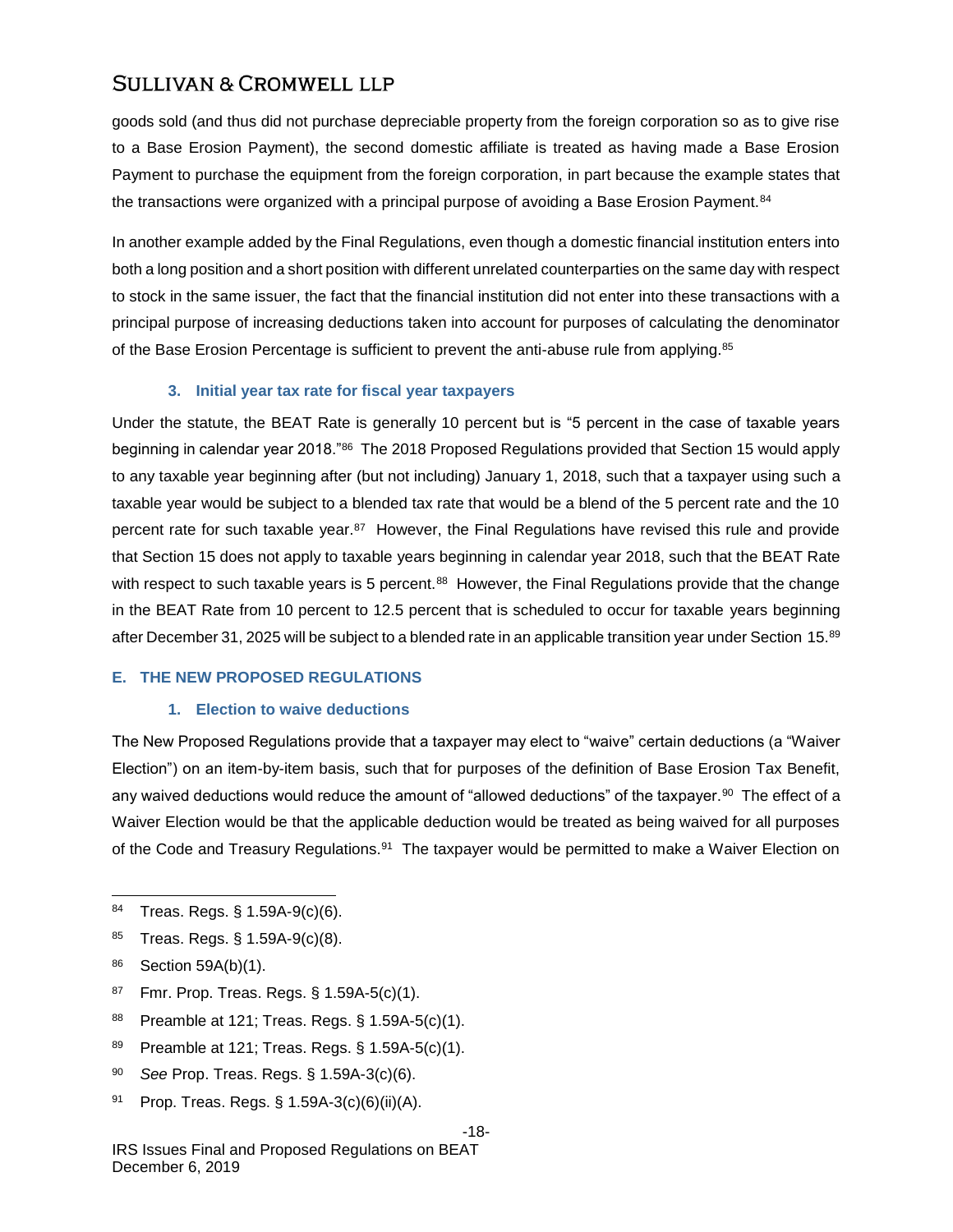goods sold (and thus did not purchase depreciable property from the foreign corporation so as to give rise to a Base Erosion Payment), the second domestic affiliate is treated as having made a Base Erosion Payment to purchase the equipment from the foreign corporation, in part because the example states that the transactions were organized with a principal purpose of avoiding a Base Erosion Payment.<sup>84</sup>

In another example added by the Final Regulations, even though a domestic financial institution enters into both a long position and a short position with different unrelated counterparties on the same day with respect to stock in the same issuer, the fact that the financial institution did not enter into these transactions with a principal purpose of increasing deductions taken into account for purposes of calculating the denominator of the Base Erosion Percentage is sufficient to prevent the anti-abuse rule from applying.<sup>85</sup>

### **3. Initial year tax rate for fiscal year taxpayers**

Under the statute, the BEAT Rate is generally 10 percent but is "5 percent in the case of taxable years beginning in calendar year 2018."<sup>86</sup> The 2018 Proposed Regulations provided that Section 15 would apply to any taxable year beginning after (but not including) January 1, 2018, such that a taxpayer using such a taxable year would be subject to a blended tax rate that would be a blend of the 5 percent rate and the 10 percent rate for such taxable year.<sup>87</sup> However, the Final Regulations have revised this rule and provide that Section 15 does not apply to taxable years beginning in calendar year 2018, such that the BEAT Rate with respect to such taxable years is 5 percent.<sup>88</sup> However, the Final Regulations provide that the change in the BEAT Rate from 10 percent to 12.5 percent that is scheduled to occur for taxable years beginning after December 31, 2025 will be subject to a blended rate in an applicable transition year under Section 15.<sup>89</sup>

#### **E. THE NEW PROPOSED REGULATIONS**

#### **1. Election to waive deductions**

The New Proposed Regulations provide that a taxpayer may elect to "waive" certain deductions (a "Waiver Election") on an item-by-item basis, such that for purposes of the definition of Base Erosion Tax Benefit, any waived deductions would reduce the amount of "allowed deductions" of the taxpayer. $^{90}$  The effect of a Waiver Election would be that the applicable deduction would be treated as being waived for all purposes of the Code and Treasury Regulations.<sup>91</sup> The taxpayer would be permitted to make a Waiver Election on

- <sup>85</sup> Treas. Regs. § 1.59A-9(c)(8).
- <sup>86</sup> Section 59A(b)(1).

l

- <sup>87</sup> Fmr. Prop. Treas. Regs. § 1.59A-5(c)(1).
- <sup>88</sup> Preamble at 121; Treas. Regs. § 1.59A-5(c)(1).
- 89 Preamble at 121; Treas. Regs. § 1.59A-5(c)(1).
- <sup>90</sup> *See* Prop. Treas. Regs. § 1.59A-3(c)(6).
- <sup>91</sup> Prop. Treas. Regs. § 1.59A-3(c)(6)(ii)(A).

#### -18-

<sup>84</sup> Treas. Regs. § 1.59A-9(c)(6).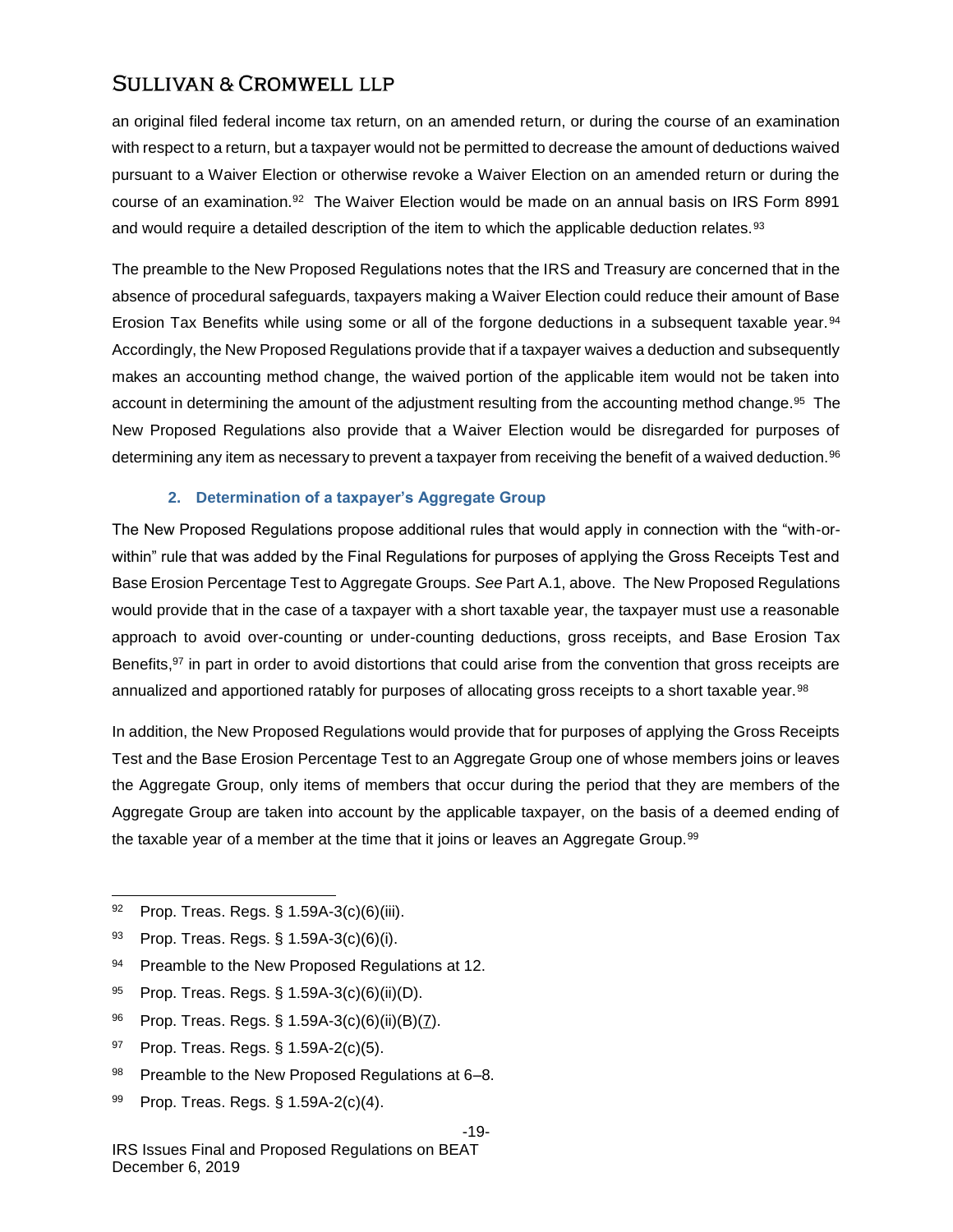an original filed federal income tax return, on an amended return, or during the course of an examination with respect to a return, but a taxpayer would not be permitted to decrease the amount of deductions waived pursuant to a Waiver Election or otherwise revoke a Waiver Election on an amended return or during the course of an examination.<sup>92</sup> The Waiver Election would be made on an annual basis on IRS Form 8991 and would require a detailed description of the item to which the applicable deduction relates.<sup>93</sup>

The preamble to the New Proposed Regulations notes that the IRS and Treasury are concerned that in the absence of procedural safeguards, taxpayers making a Waiver Election could reduce their amount of Base Erosion Tax Benefits while using some or all of the forgone deductions in a subsequent taxable year.<sup>94</sup> Accordingly, the New Proposed Regulations provide that if a taxpayer waives a deduction and subsequently makes an accounting method change, the waived portion of the applicable item would not be taken into account in determining the amount of the adjustment resulting from the accounting method change.<sup>95</sup> The New Proposed Regulations also provide that a Waiver Election would be disregarded for purposes of determining any item as necessary to prevent a taxpayer from receiving the benefit of a waived deduction.<sup>96</sup>

### **2. Determination of a taxpayer's Aggregate Group**

The New Proposed Regulations propose additional rules that would apply in connection with the "with-orwithin" rule that was added by the Final Regulations for purposes of applying the Gross Receipts Test and Base Erosion Percentage Test to Aggregate Groups. *See* Part A.1, above. The New Proposed Regulations would provide that in the case of a taxpayer with a short taxable year, the taxpayer must use a reasonable approach to avoid over-counting or under-counting deductions, gross receipts, and Base Erosion Tax Benefits,<sup>97</sup> in part in order to avoid distortions that could arise from the convention that gross receipts are annualized and apportioned ratably for purposes of allocating gross receipts to a short taxable year.<sup>98</sup>

In addition, the New Proposed Regulations would provide that for purposes of applying the Gross Receipts Test and the Base Erosion Percentage Test to an Aggregate Group one of whose members joins or leaves the Aggregate Group, only items of members that occur during the period that they are members of the Aggregate Group are taken into account by the applicable taxpayer, on the basis of a deemed ending of the taxable year of a member at the time that it joins or leaves an Aggregate Group.<sup>99</sup>

l

- 94 Preamble to the New Proposed Regulations at 12.
- <sup>95</sup> Prop. Treas. Regs. § 1.59A-3(c)(6)(ii)(D).
- <sup>96</sup> Prop. Treas. Regs. § 1.59A-3(c)(6)(ii)(B)(7).
- <sup>97</sup> Prop. Treas. Regs. § 1.59A-2(c)(5).
- 98 Preamble to the New Proposed Regulations at 6-8.
- 99 Prop. Treas. Regs. § 1.59A-2(c)(4).

### -19-

<sup>92</sup> Prop. Treas. Regs. § 1.59A-3(c)(6)(iii).

<sup>93</sup> Prop. Treas. Regs. § 1.59A-3(c)(6)(i).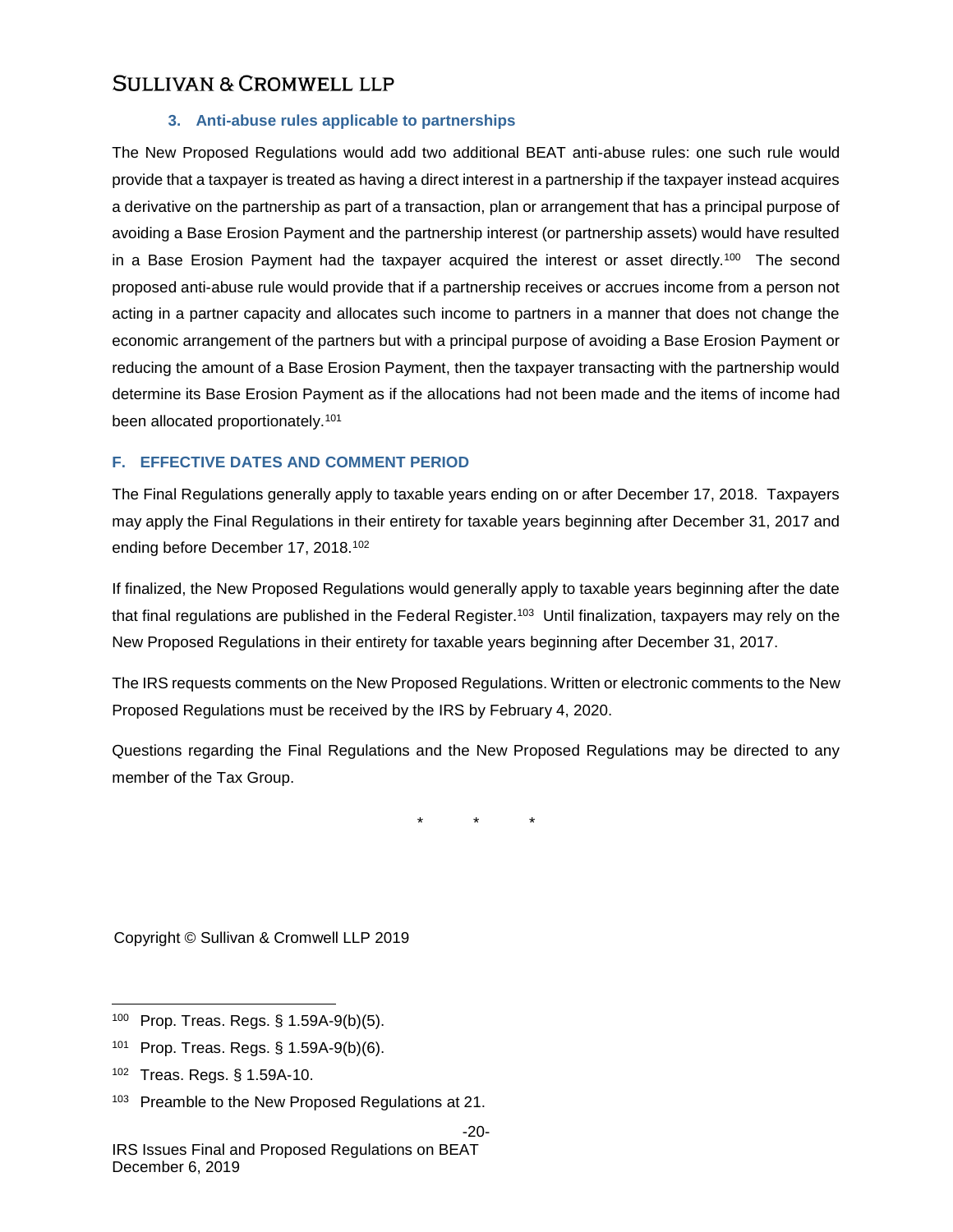### **3. Anti-abuse rules applicable to partnerships**

The New Proposed Regulations would add two additional BEAT anti-abuse rules: one such rule would provide that a taxpayer is treated as having a direct interest in a partnership if the taxpayer instead acquires a derivative on the partnership as part of a transaction, plan or arrangement that has a principal purpose of avoiding a Base Erosion Payment and the partnership interest (or partnership assets) would have resulted in a Base Erosion Payment had the taxpayer acquired the interest or asset directly.<sup>100</sup> The second proposed anti-abuse rule would provide that if a partnership receives or accrues income from a person not acting in a partner capacity and allocates such income to partners in a manner that does not change the economic arrangement of the partners but with a principal purpose of avoiding a Base Erosion Payment or reducing the amount of a Base Erosion Payment, then the taxpayer transacting with the partnership would determine its Base Erosion Payment as if the allocations had not been made and the items of income had been allocated proportionately.<sup>101</sup>

### **F. EFFECTIVE DATES AND COMMENT PERIOD**

The Final Regulations generally apply to taxable years ending on or after December 17, 2018. Taxpayers may apply the Final Regulations in their entirety for taxable years beginning after December 31, 2017 and ending before December 17, 2018.<sup>102</sup>

If finalized, the New Proposed Regulations would generally apply to taxable years beginning after the date that final regulations are published in the Federal Register.<sup>103</sup> Until finalization, taxpayers may rely on the New Proposed Regulations in their entirety for taxable years beginning after December 31, 2017.

The IRS requests comments on the New Proposed Regulations. Written or electronic comments to the New Proposed Regulations must be received by the IRS by February 4, 2020.

Questions regarding the Final Regulations and the New Proposed Regulations may be directed to any member of the Tax Group.

\* \* \*

Copyright © Sullivan & Cromwell LLP 2019

- <sup>101</sup> Prop. Treas. Regs. § 1.59A-9(b)(6).
- <sup>102</sup> Treas. Regs. § 1.59A-10.

<sup>100</sup> Prop. Treas. Regs. § 1.59A-9(b)(5).

<sup>&</sup>lt;sup>103</sup> Preamble to the New Proposed Regulations at 21.